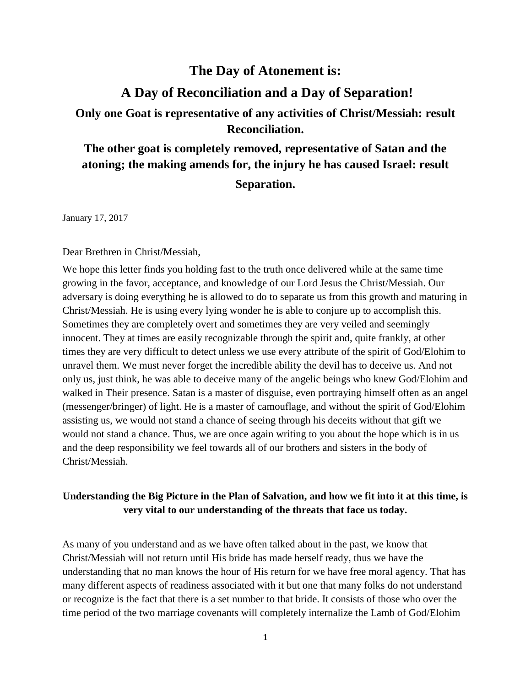## **The Day of Atonement is:**

### **A Day of Reconciliation and a Day of Separation!**

### **Only one Goat is representative of any activities of Christ/Messiah: result Reconciliation.**

## **The other goat is completely removed, representative of Satan and the atoning; the making amends for, the injury he has caused Israel: result Separation.**

January 17, 2017

Dear Brethren in Christ/Messiah,

We hope this letter finds you holding fast to the truth once delivered while at the same time growing in the favor, acceptance, and knowledge of our Lord Jesus the Christ/Messiah. Our adversary is doing everything he is allowed to do to separate us from this growth and maturing in Christ/Messiah. He is using every lying wonder he is able to conjure up to accomplish this. Sometimes they are completely overt and sometimes they are very veiled and seemingly innocent. They at times are easily recognizable through the spirit and, quite frankly, at other times they are very difficult to detect unless we use every attribute of the spirit of God/Elohim to unravel them. We must never forget the incredible ability the devil has to deceive us. And not only us, just think, he was able to deceive many of the angelic beings who knew God/Elohim and walked in Their presence. Satan is a master of disguise, even portraying himself often as an angel (messenger/bringer) of light. He is a master of camouflage, and without the spirit of God/Elohim assisting us, we would not stand a chance of seeing through his deceits without that gift we would not stand a chance. Thus, we are once again writing to you about the hope which is in us and the deep responsibility we feel towards all of our brothers and sisters in the body of Christ/Messiah.

#### **Understanding the Big Picture in the Plan of Salvation, and how we fit into it at this time, is very vital to our understanding of the threats that face us today.**

As many of you understand and as we have often talked about in the past, we know that Christ/Messiah will not return until His bride has made herself ready, thus we have the understanding that no man knows the hour of His return for we have free moral agency. That has many different aspects of readiness associated with it but one that many folks do not understand or recognize is the fact that there is a set number to that bride. It consists of those who over the time period of the two marriage covenants will completely internalize the Lamb of God/Elohim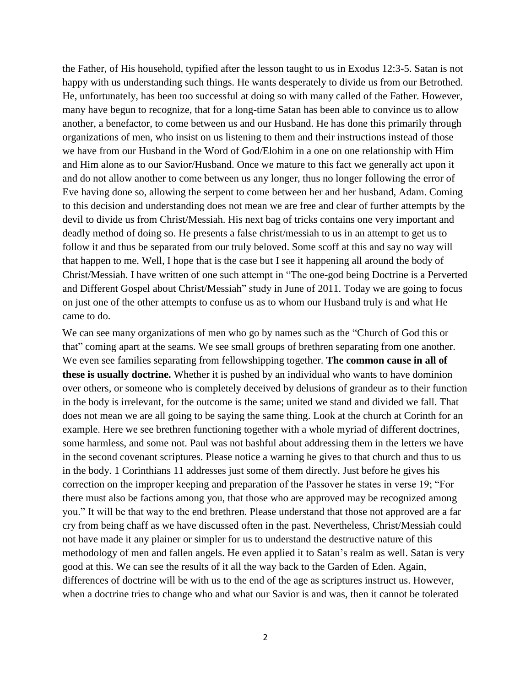the Father, of His household, typified after the lesson taught to us in Exodus 12:3-5. Satan is not happy with us understanding such things. He wants desperately to divide us from our Betrothed. He, unfortunately, has been too successful at doing so with many called of the Father. However, many have begun to recognize, that for a long-time Satan has been able to convince us to allow another, a benefactor, to come between us and our Husband. He has done this primarily through organizations of men, who insist on us listening to them and their instructions instead of those we have from our Husband in the Word of God/Elohim in a one on one relationship with Him and Him alone as to our Savior/Husband. Once we mature to this fact we generally act upon it and do not allow another to come between us any longer, thus no longer following the error of Eve having done so, allowing the serpent to come between her and her husband, Adam. Coming to this decision and understanding does not mean we are free and clear of further attempts by the devil to divide us from Christ/Messiah. His next bag of tricks contains one very important and deadly method of doing so. He presents a false christ/messiah to us in an attempt to get us to follow it and thus be separated from our truly beloved. Some scoff at this and say no way will that happen to me. Well, I hope that is the case but I see it happening all around the body of Christ/Messiah. I have written of one such attempt in "The one-god being Doctrine is a Perverted and Different Gospel about Christ/Messiah" study in June of 2011. Today we are going to focus on just one of the other attempts to confuse us as to whom our Husband truly is and what He came to do.

We can see many organizations of men who go by names such as the "Church of God this or that" coming apart at the seams. We see small groups of brethren separating from one another. We even see families separating from fellowshipping together. **The common cause in all of these is usually doctrine.** Whether it is pushed by an individual who wants to have dominion over others, or someone who is completely deceived by delusions of grandeur as to their function in the body is irrelevant, for the outcome is the same; united we stand and divided we fall. That does not mean we are all going to be saying the same thing. Look at the church at Corinth for an example. Here we see brethren functioning together with a whole myriad of different doctrines, some harmless, and some not. Paul was not bashful about addressing them in the letters we have in the second covenant scriptures. Please notice a warning he gives to that church and thus to us in the body. 1 Corinthians 11 addresses just some of them directly. Just before he gives his correction on the improper keeping and preparation of the Passover he states in verse 19; "For there must also be factions among you, that those who are approved may be recognized among you." It will be that way to the end brethren. Please understand that those not approved are a far cry from being chaff as we have discussed often in the past. Nevertheless, Christ/Messiah could not have made it any plainer or simpler for us to understand the destructive nature of this methodology of men and fallen angels. He even applied it to Satan's realm as well. Satan is very good at this. We can see the results of it all the way back to the Garden of Eden. Again, differences of doctrine will be with us to the end of the age as scriptures instruct us. However, when a doctrine tries to change who and what our Savior is and was, then it cannot be tolerated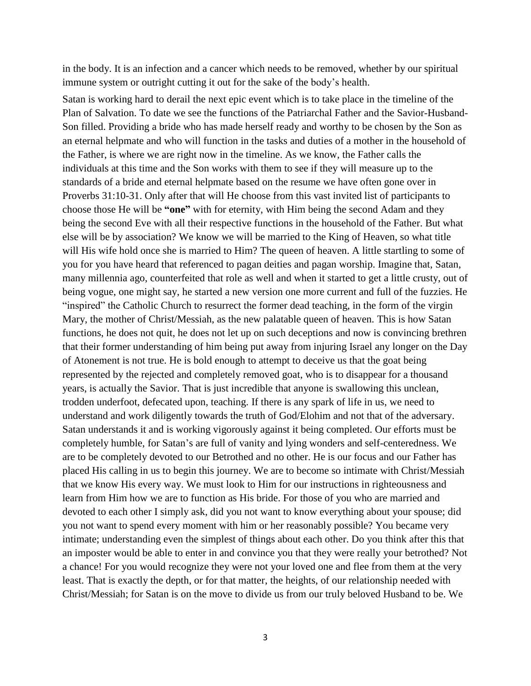in the body. It is an infection and a cancer which needs to be removed, whether by our spiritual immune system or outright cutting it out for the sake of the body's health.

Satan is working hard to derail the next epic event which is to take place in the timeline of the Plan of Salvation. To date we see the functions of the Patriarchal Father and the Savior-Husband-Son filled. Providing a bride who has made herself ready and worthy to be chosen by the Son as an eternal helpmate and who will function in the tasks and duties of a mother in the household of the Father, is where we are right now in the timeline. As we know, the Father calls the individuals at this time and the Son works with them to see if they will measure up to the standards of a bride and eternal helpmate based on the resume we have often gone over in Proverbs 31:10-31. Only after that will He choose from this vast invited list of participants to choose those He will be **"one"** with for eternity, with Him being the second Adam and they being the second Eve with all their respective functions in the household of the Father. But what else will be by association? We know we will be married to the King of Heaven, so what title will His wife hold once she is married to Him? The queen of heaven. A little startling to some of you for you have heard that referenced to pagan deities and pagan worship. Imagine that, Satan, many millennia ago, counterfeited that role as well and when it started to get a little crusty, out of being vogue, one might say, he started a new version one more current and full of the fuzzies. He "inspired" the Catholic Church to resurrect the former dead teaching, in the form of the virgin Mary, the mother of Christ/Messiah, as the new palatable queen of heaven. This is how Satan functions, he does not quit, he does not let up on such deceptions and now is convincing brethren that their former understanding of him being put away from injuring Israel any longer on the Day of Atonement is not true. He is bold enough to attempt to deceive us that the goat being represented by the rejected and completely removed goat, who is to disappear for a thousand years, is actually the Savior. That is just incredible that anyone is swallowing this unclean, trodden underfoot, defecated upon, teaching. If there is any spark of life in us, we need to understand and work diligently towards the truth of God/Elohim and not that of the adversary. Satan understands it and is working vigorously against it being completed. Our efforts must be completely humble, for Satan's are full of vanity and lying wonders and self-centeredness. We are to be completely devoted to our Betrothed and no other. He is our focus and our Father has placed His calling in us to begin this journey. We are to become so intimate with Christ/Messiah that we know His every way. We must look to Him for our instructions in righteousness and learn from Him how we are to function as His bride. For those of you who are married and devoted to each other I simply ask, did you not want to know everything about your spouse; did you not want to spend every moment with him or her reasonably possible? You became very intimate; understanding even the simplest of things about each other. Do you think after this that an imposter would be able to enter in and convince you that they were really your betrothed? Not a chance! For you would recognize they were not your loved one and flee from them at the very least. That is exactly the depth, or for that matter, the heights, of our relationship needed with Christ/Messiah; for Satan is on the move to divide us from our truly beloved Husband to be. We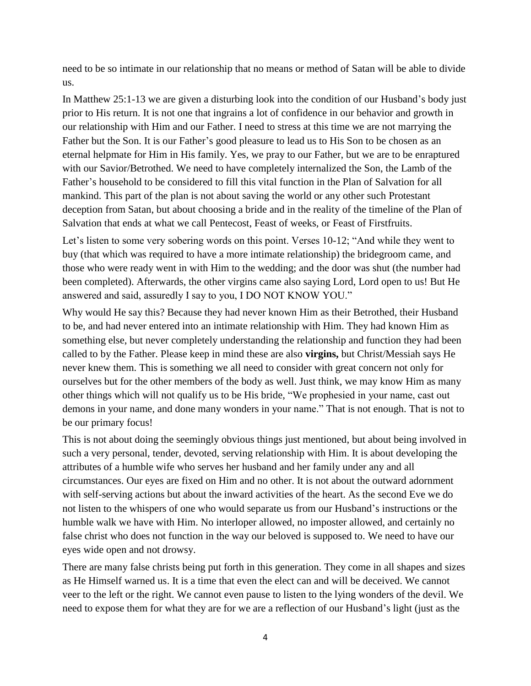need to be so intimate in our relationship that no means or method of Satan will be able to divide us.

In Matthew 25:1-13 we are given a disturbing look into the condition of our Husband's body just prior to His return. It is not one that ingrains a lot of confidence in our behavior and growth in our relationship with Him and our Father. I need to stress at this time we are not marrying the Father but the Son. It is our Father's good pleasure to lead us to His Son to be chosen as an eternal helpmate for Him in His family. Yes, we pray to our Father, but we are to be enraptured with our Savior/Betrothed. We need to have completely internalized the Son, the Lamb of the Father's household to be considered to fill this vital function in the Plan of Salvation for all mankind. This part of the plan is not about saving the world or any other such Protestant deception from Satan, but about choosing a bride and in the reality of the timeline of the Plan of Salvation that ends at what we call Pentecost, Feast of weeks, or Feast of Firstfruits.

Let's listen to some very sobering words on this point. Verses 10-12; "And while they went to buy (that which was required to have a more intimate relationship) the bridegroom came, and those who were ready went in with Him to the wedding; and the door was shut (the number had been completed). Afterwards, the other virgins came also saying Lord, Lord open to us! But He answered and said, assuredly I say to you, I DO NOT KNOW YOU."

Why would He say this? Because they had never known Him as their Betrothed, their Husband to be, and had never entered into an intimate relationship with Him. They had known Him as something else, but never completely understanding the relationship and function they had been called to by the Father. Please keep in mind these are also **virgins,** but Christ/Messiah says He never knew them. This is something we all need to consider with great concern not only for ourselves but for the other members of the body as well. Just think, we may know Him as many other things which will not qualify us to be His bride, "We prophesied in your name, cast out demons in your name, and done many wonders in your name." That is not enough. That is not to be our primary focus!

This is not about doing the seemingly obvious things just mentioned, but about being involved in such a very personal, tender, devoted, serving relationship with Him. It is about developing the attributes of a humble wife who serves her husband and her family under any and all circumstances. Our eyes are fixed on Him and no other. It is not about the outward adornment with self-serving actions but about the inward activities of the heart. As the second Eve we do not listen to the whispers of one who would separate us from our Husband's instructions or the humble walk we have with Him. No interloper allowed, no imposter allowed, and certainly no false christ who does not function in the way our beloved is supposed to. We need to have our eyes wide open and not drowsy.

There are many false christs being put forth in this generation. They come in all shapes and sizes as He Himself warned us. It is a time that even the elect can and will be deceived. We cannot veer to the left or the right. We cannot even pause to listen to the lying wonders of the devil. We need to expose them for what they are for we are a reflection of our Husband's light (just as the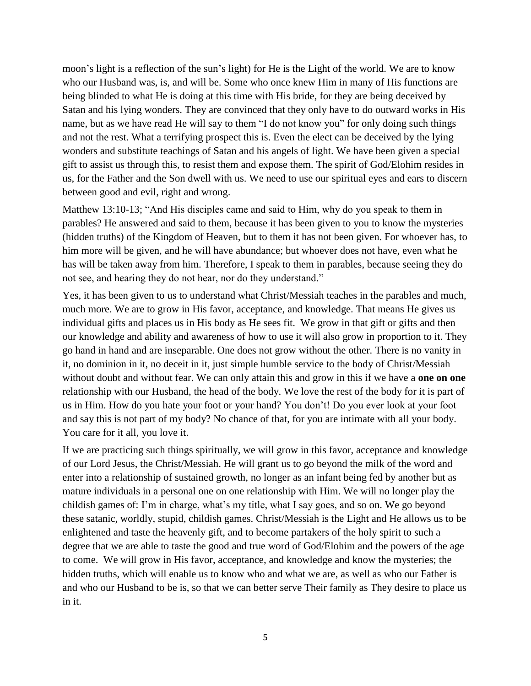moon's light is a reflection of the sun's light) for He is the Light of the world. We are to know who our Husband was, is, and will be. Some who once knew Him in many of His functions are being blinded to what He is doing at this time with His bride, for they are being deceived by Satan and his lying wonders. They are convinced that they only have to do outward works in His name, but as we have read He will say to them "I do not know you" for only doing such things and not the rest. What a terrifying prospect this is. Even the elect can be deceived by the lying wonders and substitute teachings of Satan and his angels of light. We have been given a special gift to assist us through this, to resist them and expose them. The spirit of God/Elohim resides in us, for the Father and the Son dwell with us. We need to use our spiritual eyes and ears to discern between good and evil, right and wrong.

Matthew 13:10-13; "And His disciples came and said to Him, why do you speak to them in parables? He answered and said to them, because it has been given to you to know the mysteries (hidden truths) of the Kingdom of Heaven, but to them it has not been given. For whoever has, to him more will be given, and he will have abundance; but whoever does not have, even what he has will be taken away from him. Therefore, I speak to them in parables, because seeing they do not see, and hearing they do not hear, nor do they understand."

Yes, it has been given to us to understand what Christ/Messiah teaches in the parables and much, much more. We are to grow in His favor, acceptance, and knowledge. That means He gives us individual gifts and places us in His body as He sees fit. We grow in that gift or gifts and then our knowledge and ability and awareness of how to use it will also grow in proportion to it. They go hand in hand and are inseparable. One does not grow without the other. There is no vanity in it, no dominion in it, no deceit in it, just simple humble service to the body of Christ/Messiah without doubt and without fear. We can only attain this and grow in this if we have a **one on one** relationship with our Husband, the head of the body. We love the rest of the body for it is part of us in Him. How do you hate your foot or your hand? You don't! Do you ever look at your foot and say this is not part of my body? No chance of that, for you are intimate with all your body. You care for it all, you love it.

If we are practicing such things spiritually, we will grow in this favor, acceptance and knowledge of our Lord Jesus, the Christ/Messiah. He will grant us to go beyond the milk of the word and enter into a relationship of sustained growth, no longer as an infant being fed by another but as mature individuals in a personal one on one relationship with Him. We will no longer play the childish games of: I'm in charge, what's my title, what I say goes, and so on. We go beyond these satanic, worldly, stupid, childish games. Christ/Messiah is the Light and He allows us to be enlightened and taste the heavenly gift, and to become partakers of the holy spirit to such a degree that we are able to taste the good and true word of God/Elohim and the powers of the age to come. We will grow in His favor, acceptance, and knowledge and know the mysteries; the hidden truths, which will enable us to know who and what we are, as well as who our Father is and who our Husband to be is, so that we can better serve Their family as They desire to place us in it.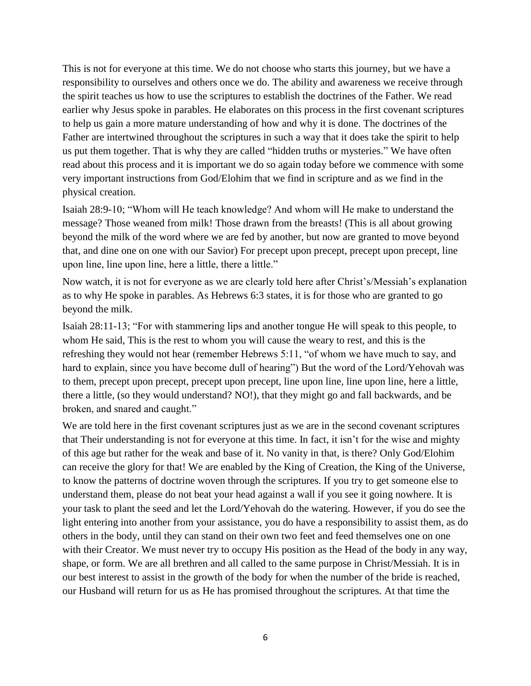This is not for everyone at this time. We do not choose who starts this journey, but we have a responsibility to ourselves and others once we do. The ability and awareness we receive through the spirit teaches us how to use the scriptures to establish the doctrines of the Father. We read earlier why Jesus spoke in parables. He elaborates on this process in the first covenant scriptures to help us gain a more mature understanding of how and why it is done. The doctrines of the Father are intertwined throughout the scriptures in such a way that it does take the spirit to help us put them together. That is why they are called "hidden truths or mysteries." We have often read about this process and it is important we do so again today before we commence with some very important instructions from God/Elohim that we find in scripture and as we find in the physical creation.

Isaiah 28:9-10; "Whom will He teach knowledge? And whom will He make to understand the message? Those weaned from milk! Those drawn from the breasts! (This is all about growing beyond the milk of the word where we are fed by another, but now are granted to move beyond that, and dine one on one with our Savior) For precept upon precept, precept upon precept, line upon line, line upon line, here a little, there a little."

Now watch, it is not for everyone as we are clearly told here after Christ's/Messiah's explanation as to why He spoke in parables. As Hebrews 6:3 states, it is for those who are granted to go beyond the milk.

Isaiah 28:11-13; "For with stammering lips and another tongue He will speak to this people, to whom He said, This is the rest to whom you will cause the weary to rest, and this is the refreshing they would not hear (remember Hebrews 5:11, "of whom we have much to say, and hard to explain, since you have become dull of hearing") But the word of the Lord/Yehovah was to them, precept upon precept, precept upon precept, line upon line, line upon line, here a little, there a little, (so they would understand? NO!), that they might go and fall backwards, and be broken, and snared and caught."

We are told here in the first covenant scriptures just as we are in the second covenant scriptures that Their understanding is not for everyone at this time. In fact, it isn't for the wise and mighty of this age but rather for the weak and base of it. No vanity in that, is there? Only God/Elohim can receive the glory for that! We are enabled by the King of Creation, the King of the Universe, to know the patterns of doctrine woven through the scriptures. If you try to get someone else to understand them, please do not beat your head against a wall if you see it going nowhere. It is your task to plant the seed and let the Lord/Yehovah do the watering. However, if you do see the light entering into another from your assistance, you do have a responsibility to assist them, as do others in the body, until they can stand on their own two feet and feed themselves one on one with their Creator. We must never try to occupy His position as the Head of the body in any way, shape, or form. We are all brethren and all called to the same purpose in Christ/Messiah. It is in our best interest to assist in the growth of the body for when the number of the bride is reached, our Husband will return for us as He has promised throughout the scriptures. At that time the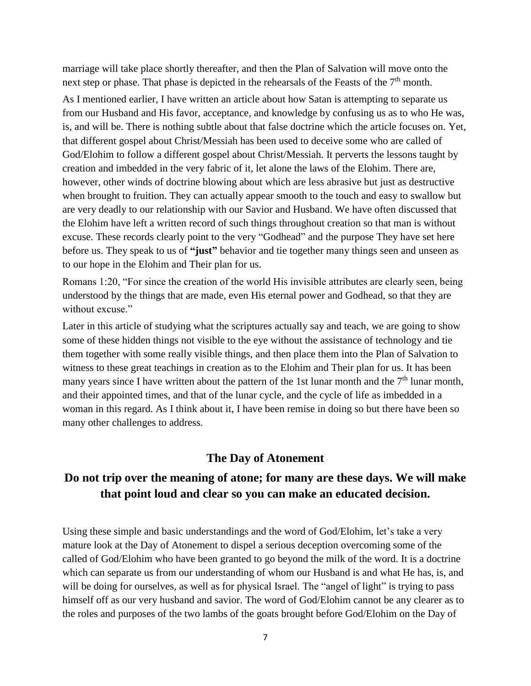marriage will take place shortly thereafter, and then the Plan of Salvation will move onto the next step or phase. That phase is depicted in the rehearsals of the Feasts of the 7<sup>th</sup> month.

As I mentioned earlier, I have written an article about how Satan is attempting to separate us from our Husband and His favor, acceptance, and knowledge by confusing us as to who He was, is, and will be. There is nothing subtle about that false doctrine which the article focuses on. Yet, that different gospel about Christ/Messiah has been used to deceive some who are called of God/Elohim to follow a different gospel about Christ/Messiah. It perverts the lessons taught by creation and imbedded in the very fabric of it, let alone the laws of the Elohim. There are, however, other winds of doctrine blowing about which are less abrasive but just as destructive when brought to fruition. They can actually appear smooth to the touch and easy to swallow but are very deadly to our relationship with our Savior and Husband. We have often discussed that the Elohim have left a written record of such things throughout creation so that man is without excuse. These records clearly point to the very "Godhead" and the purpose They have set here before us. They speak to us of **"just"** behavior and tie together many things seen and unseen as to our hope in the Elohim and Their plan for us.

Romans 1:20, "For since the creation of the world His invisible attributes are clearly seen, being understood by the things that are made, even His eternal power and Godhead, so that they are without excuse."

Later in this article of studying what the scriptures actually say and teach, we are going to show some of these hidden things not visible to the eye without the assistance of technology and tie them together with some really visible things, and then place them into the Plan of Salvation to witness to these great teachings in creation as to the Elohim and Their plan for us. It has been many years since I have written about the pattern of the 1st lunar month and the  $7<sup>th</sup>$  lunar month, and their appointed times, and that of the lunar cycle, and the cycle of life as imbedded in a woman in this regard. As I think about it, I have been remise in doing so but there have been so many other challenges to address.

#### **The Day of Atonement**

### **Do not trip over the meaning of atone; for many are these days. We will make that point loud and clear so you can make an educated decision.**

Using these simple and basic understandings and the word of God/Elohim, let's take a very mature look at the Day of Atonement to dispel a serious deception overcoming some of the called of God/Elohim who have been granted to go beyond the milk of the word. It is a doctrine which can separate us from our understanding of whom our Husband is and what He has, is, and will be doing for ourselves, as well as for physical Israel. The "angel of light" is trying to pass himself off as our very husband and savior. The word of God/Elohim cannot be any clearer as to the roles and purposes of the two lambs of the goats brought before God/Elohim on the Day of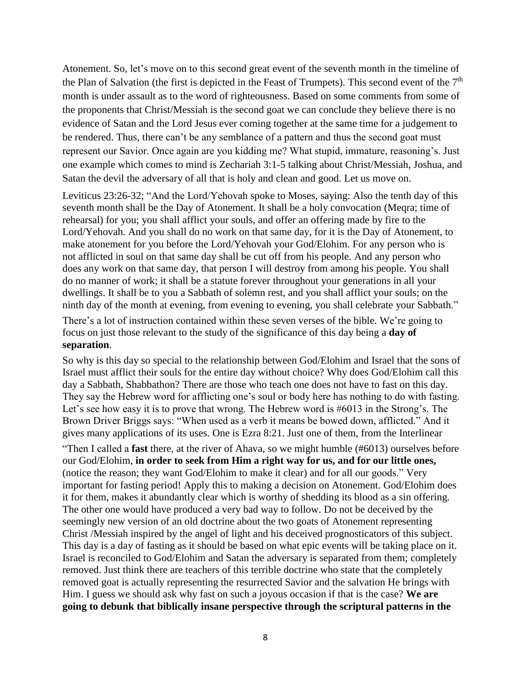Atonement. So, let's move on to this second great event of the seventh month in the timeline of the Plan of Salvation (the first is depicted in the Feast of Trumpets). This second event of the 7<sup>th</sup> month is under assault as to the word of righteousness. Based on some comments from some of the proponents that Christ/Messiah is the second goat we can conclude they believe there is no evidence of Satan and the Lord Jesus ever coming together at the same time for a judgement to be rendered. Thus, there can't be any semblance of a pattern and thus the second goat must represent our Savior. Once again are you kidding me? What stupid, immature, reasoning's. Just one example which comes to mind is Zechariah 3:1-5 talking about Christ/Messiah, Joshua, and Satan the devil the adversary of all that is holy and clean and good. Let us move on.

Leviticus 23:26-32; "And the Lord/Yehovah spoke to Moses, saying: Also the tenth day of this seventh month shall be the Day of Atonement. It shall be a holy convocation (Meqra; time of rehearsal) for you; you shall afflict your souls, and offer an offering made by fire to the Lord/Yehovah. And you shall do no work on that same day, for it is the Day of Atonement, to make atonement for you before the Lord/Yehovah your God/Elohim. For any person who is not afflicted in soul on that same day shall be cut off from his people. And any person who does any work on that same day, that person I will destroy from among his people. You shall do no manner of work; it shall be a statute forever throughout your generations in all your dwellings. It shall be to you a Sabbath of solemn rest, and you shall afflict your souls; on the ninth day of the month at evening, from evening to evening, you shall celebrate your Sabbath."

There's a lot of instruction contained within these seven verses of the bible. We're going to focus on just those relevant to the study of the significance of this day being a **day of separation**.

So why is this day so special to the relationship between God/Elohim and Israel that the sons of Israel must afflict their souls for the entire day without choice? Why does God/Elohim call this day a Sabbath, Shabbathon? There are those who teach one does not have to fast on this day. They say the Hebrew word for afflicting one's soul or body here has nothing to do with fasting. Let's see how easy it is to prove that wrong. The Hebrew word is #6013 in the Strong's. The Brown Driver Briggs says: "When used as a verb it means be bowed down, afflicted." And it gives many applications of its uses. One is Ezra 8:21. Just one of them, from the Interlinear

"Then I called a **fast** there, at the river of Ahava, so we might humble (#6013) ourselves before our God/Elohim, **in order to seek from Him a right way for us, and for our little ones,** (notice the reason; they want God/Elohim to make it clear) and for all our goods." Very important for fasting period! Apply this to making a decision on Atonement. God/Elohim does it for them, makes it abundantly clear which is worthy of shedding its blood as a sin offering. The other one would have produced a very bad way to follow. Do not be deceived by the seemingly new version of an old doctrine about the two goats of Atonement representing Christ /Messiah inspired by the angel of light and his deceived prognosticators of this subject. This day is a day of fasting as it should be based on what epic events will be taking place on it. Israel is reconciled to God/Elohim and Satan the adversary is separated from them; completely removed. Just think there are teachers of this terrible doctrine who state that the completely removed goat is actually representing the resurrected Savior and the salvation He brings with Him. I guess we should ask why fast on such a joyous occasion if that is the case? **We are going to debunk that biblically insane perspective through the scriptural patterns in the**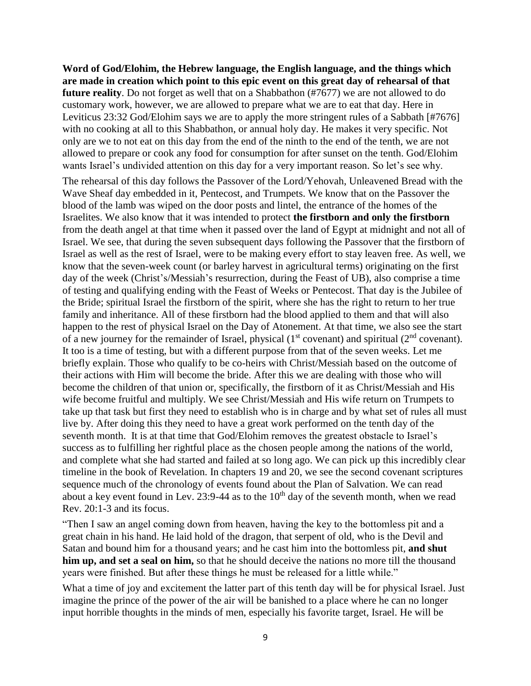**Word of God/Elohim, the Hebrew language, the English language, and the things which are made in creation which point to this epic event on this great day of rehearsal of that future reality**. Do not forget as well that on a Shabbathon (#7677) we are not allowed to do customary work, however, we are allowed to prepare what we are to eat that day. Here in Leviticus 23:32 God/Elohim says we are to apply the more stringent rules of a Sabbath [#7676] with no cooking at all to this Shabbathon, or annual holy day. He makes it very specific. Not only are we to not eat on this day from the end of the ninth to the end of the tenth, we are not allowed to prepare or cook any food for consumption for after sunset on the tenth. God/Elohim wants Israel's undivided attention on this day for a very important reason. So let's see why.

The rehearsal of this day follows the Passover of the Lord/Yehovah, Unleavened Bread with the Wave Sheaf day embedded in it, Pentecost, and Trumpets. We know that on the Passover the blood of the lamb was wiped on the door posts and lintel, the entrance of the homes of the Israelites. We also know that it was intended to protect **the firstborn and only the firstborn** from the death angel at that time when it passed over the land of Egypt at midnight and not all of Israel. We see, that during the seven subsequent days following the Passover that the firstborn of Israel as well as the rest of Israel, were to be making every effort to stay leaven free. As well, we know that the seven-week count (or barley harvest in agricultural terms) originating on the first day of the week (Christ's/Messiah's resurrection, during the Feast of UB), also comprise a time of testing and qualifying ending with the Feast of Weeks or Pentecost. That day is the Jubilee of the Bride; spiritual Israel the firstborn of the spirit, where she has the right to return to her true family and inheritance. All of these firstborn had the blood applied to them and that will also happen to the rest of physical Israel on the Day of Atonement. At that time, we also see the start of a new journey for the remainder of Israel, physical  $(1<sup>st</sup> covenant)$  and spiritual  $(2<sup>nd</sup> covenant)$ . It too is a time of testing, but with a different purpose from that of the seven weeks. Let me briefly explain. Those who qualify to be co-heirs with Christ/Messiah based on the outcome of their actions with Him will become the bride. After this we are dealing with those who will become the children of that union or, specifically, the firstborn of it as Christ/Messiah and His wife become fruitful and multiply. We see Christ/Messiah and His wife return on Trumpets to take up that task but first they need to establish who is in charge and by what set of rules all must live by. After doing this they need to have a great work performed on the tenth day of the seventh month. It is at that time that God/Elohim removes the greatest obstacle to Israel's success as to fulfilling her rightful place as the chosen people among the nations of the world, and complete what she had started and failed at so long ago. We can pick up this incredibly clear timeline in the book of Revelation. In chapters 19 and 20, we see the second covenant scriptures sequence much of the chronology of events found about the Plan of Salvation. We can read about a key event found in Lev.  $23:9-44$  as to the  $10<sup>th</sup>$  day of the seventh month, when we read Rev. 20:1-3 and its focus.

"Then I saw an angel coming down from heaven, having the key to the bottomless pit and a great chain in his hand. He laid hold of the dragon, that serpent of old, who is the Devil and Satan and bound him for a thousand years; and he cast him into the bottomless pit, **and shut him up, and set a seal on him,** so that he should deceive the nations no more till the thousand years were finished. But after these things he must be released for a little while."

What a time of joy and excitement the latter part of this tenth day will be for physical Israel. Just imagine the prince of the power of the air will be banished to a place where he can no longer input horrible thoughts in the minds of men, especially his favorite target, Israel. He will be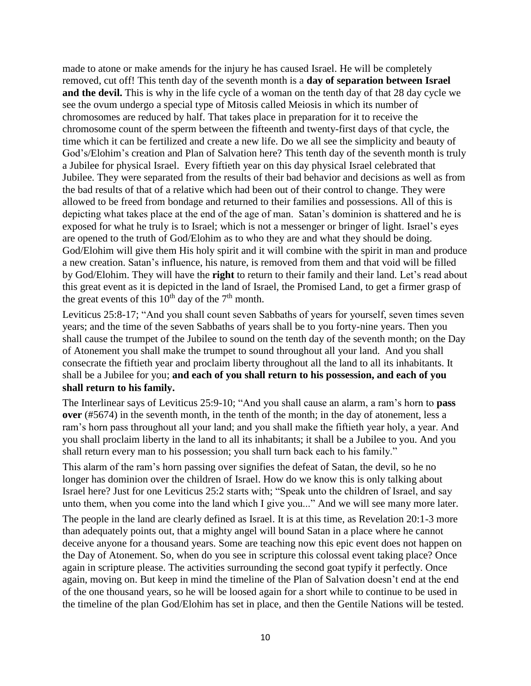made to atone or make amends for the injury he has caused Israel. He will be completely removed, cut off! This tenth day of the seventh month is a **day of separation between Israel and the devil.** This is why in the life cycle of a woman on the tenth day of that 28 day cycle we see the ovum undergo a special type of Mitosis called Meiosis in which its number of chromosomes are reduced by half. That takes place in preparation for it to receive the chromosome count of the sperm between the fifteenth and twenty-first days of that cycle, the time which it can be fertilized and create a new life. Do we all see the simplicity and beauty of God's/Elohim's creation and Plan of Salvation here? This tenth day of the seventh month is truly a Jubilee for physical Israel. Every fiftieth year on this day physical Israel celebrated that Jubilee. They were separated from the results of their bad behavior and decisions as well as from the bad results of that of a relative which had been out of their control to change. They were allowed to be freed from bondage and returned to their families and possessions. All of this is depicting what takes place at the end of the age of man. Satan's dominion is shattered and he is exposed for what he truly is to Israel; which is not a messenger or bringer of light. Israel's eyes are opened to the truth of God/Elohim as to who they are and what they should be doing. God/Elohim will give them His holy spirit and it will combine with the spirit in man and produce a new creation. Satan's influence, his nature, is removed from them and that void will be filled by God/Elohim. They will have the **right** to return to their family and their land. Let's read about this great event as it is depicted in the land of Israel, the Promised Land, to get a firmer grasp of the great events of this  $10^{th}$  day of the  $7^{th}$  month.

Leviticus 25:8-17; "And you shall count seven Sabbaths of years for yourself, seven times seven years; and the time of the seven Sabbaths of years shall be to you forty-nine years. Then you shall cause the trumpet of the Jubilee to sound on the tenth day of the seventh month; on the Day of Atonement you shall make the trumpet to sound throughout all your land. And you shall consecrate the fiftieth year and proclaim liberty throughout all the land to all its inhabitants. It shall be a Jubilee for you; **and each of you shall return to his possession, and each of you shall return to his family.** 

The Interlinear says of Leviticus 25:9-10; "And you shall cause an alarm, a ram's horn to **pass over** (#5674) in the seventh month, in the tenth of the month; in the day of atonement, less a ram's horn pass throughout all your land; and you shall make the fiftieth year holy, a year. And you shall proclaim liberty in the land to all its inhabitants; it shall be a Jubilee to you. And you shall return every man to his possession; you shall turn back each to his family."

This alarm of the ram's horn passing over signifies the defeat of Satan, the devil, so he no longer has dominion over the children of Israel. How do we know this is only talking about Israel here? Just for one Leviticus 25:2 starts with; "Speak unto the children of Israel, and say unto them, when you come into the land which I give you..." And we will see many more later.

The people in the land are clearly defined as Israel. It is at this time, as Revelation 20:1-3 more than adequately points out, that a mighty angel will bound Satan in a place where he cannot deceive anyone for a thousand years. Some are teaching now this epic event does not happen on the Day of Atonement. So, when do you see in scripture this colossal event taking place? Once again in scripture please. The activities surrounding the second goat typify it perfectly. Once again, moving on. But keep in mind the timeline of the Plan of Salvation doesn't end at the end of the one thousand years, so he will be loosed again for a short while to continue to be used in the timeline of the plan God/Elohim has set in place, and then the Gentile Nations will be tested.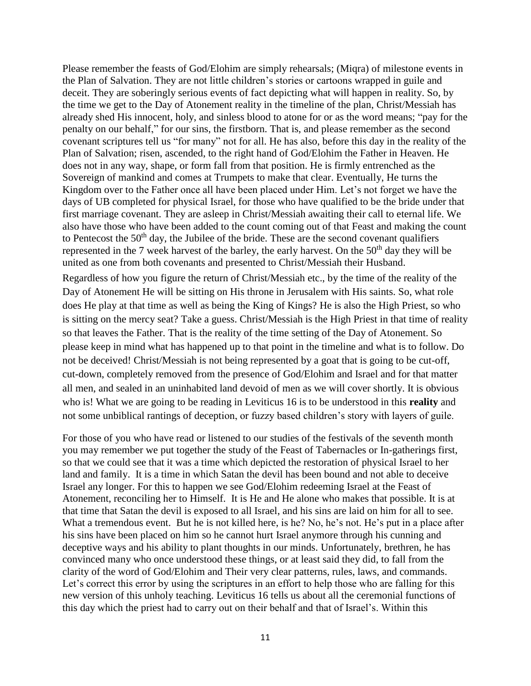Please remember the feasts of God/Elohim are simply rehearsals; (Miqra) of milestone events in the Plan of Salvation. They are not little children's stories or cartoons wrapped in guile and deceit. They are soberingly serious events of fact depicting what will happen in reality. So, by the time we get to the Day of Atonement reality in the timeline of the plan, Christ/Messiah has already shed His innocent, holy, and sinless blood to atone for or as the word means; "pay for the penalty on our behalf," for our sins, the firstborn. That is, and please remember as the second covenant scriptures tell us "for many" not for all. He has also, before this day in the reality of the Plan of Salvation; risen, ascended, to the right hand of God/Elohim the Father in Heaven. He does not in any way, shape, or form fall from that position. He is firmly entrenched as the Sovereign of mankind and comes at Trumpets to make that clear. Eventually, He turns the Kingdom over to the Father once all have been placed under Him. Let's not forget we have the days of UB completed for physical Israel, for those who have qualified to be the bride under that first marriage covenant. They are asleep in Christ/Messiah awaiting their call to eternal life. We also have those who have been added to the count coming out of that Feast and making the count to Pentecost the  $50<sup>th</sup>$  day, the Jubilee of the bride. These are the second covenant qualifiers represented in the 7 week harvest of the barley, the early harvest. On the  $50<sup>th</sup>$  day they will be united as one from both covenants and presented to Christ/Messiah their Husband.

Regardless of how you figure the return of Christ/Messiah etc., by the time of the reality of the Day of Atonement He will be sitting on His throne in Jerusalem with His saints. So, what role does He play at that time as well as being the King of Kings? He is also the High Priest, so who is sitting on the mercy seat? Take a guess. Christ/Messiah is the High Priest in that time of reality so that leaves the Father. That is the reality of the time setting of the Day of Atonement. So please keep in mind what has happened up to that point in the timeline and what is to follow. Do not be deceived! Christ/Messiah is not being represented by a goat that is going to be cut-off, cut-down, completely removed from the presence of God/Elohim and Israel and for that matter all men, and sealed in an uninhabited land devoid of men as we will cover shortly. It is obvious who is! What we are going to be reading in Leviticus 16 is to be understood in this **reality** and not some unbiblical rantings of deception, or fuzzy based children's story with layers of guile.

For those of you who have read or listened to our studies of the festivals of the seventh month you may remember we put together the study of the Feast of Tabernacles or In-gatherings first, so that we could see that it was a time which depicted the restoration of physical Israel to her land and family. It is a time in which Satan the devil has been bound and not able to deceive Israel any longer. For this to happen we see God/Elohim redeeming Israel at the Feast of Atonement, reconciling her to Himself. It is He and He alone who makes that possible. It is at that time that Satan the devil is exposed to all Israel, and his sins are laid on him for all to see. What a tremendous event. But he is not killed here, is he? No, he's not. He's put in a place after his sins have been placed on him so he cannot hurt Israel anymore through his cunning and deceptive ways and his ability to plant thoughts in our minds. Unfortunately, brethren, he has convinced many who once understood these things, or at least said they did, to fall from the clarity of the word of God/Elohim and Their very clear patterns, rules, laws, and commands. Let's correct this error by using the scriptures in an effort to help those who are falling for this new version of this unholy teaching. Leviticus 16 tells us about all the ceremonial functions of this day which the priest had to carry out on their behalf and that of Israel's. Within this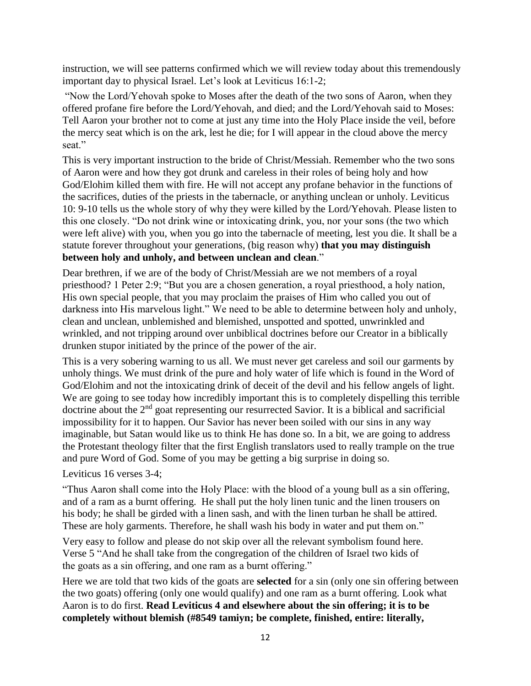instruction, we will see patterns confirmed which we will review today about this tremendously important day to physical Israel. Let's look at Leviticus 16:1-2;

"Now the Lord/Yehovah spoke to Moses after the death of the two sons of Aaron, when they offered profane fire before the Lord/Yehovah, and died; and the Lord/Yehovah said to Moses: Tell Aaron your brother not to come at just any time into the Holy Place inside the veil, before the mercy seat which is on the ark, lest he die; for I will appear in the cloud above the mercy seat."

This is very important instruction to the bride of Christ/Messiah. Remember who the two sons of Aaron were and how they got drunk and careless in their roles of being holy and how God/Elohim killed them with fire. He will not accept any profane behavior in the functions of the sacrifices, duties of the priests in the tabernacle, or anything unclean or unholy. Leviticus 10: 9-10 tells us the whole story of why they were killed by the Lord/Yehovah. Please listen to this one closely. "Do not drink wine or intoxicating drink, you, nor your sons (the two which were left alive) with you, when you go into the tabernacle of meeting, lest you die. It shall be a statute forever throughout your generations, (big reason why) **that you may distinguish between holy and unholy, and between unclean and clean**."

Dear brethren, if we are of the body of Christ/Messiah are we not members of a royal priesthood? 1 Peter 2:9; "But you are a chosen generation, a royal priesthood, a holy nation, His own special people, that you may proclaim the praises of Him who called you out of darkness into His marvelous light." We need to be able to determine between holy and unholy, clean and unclean, unblemished and blemished, unspotted and spotted, unwrinkled and wrinkled, and not tripping around over unbiblical doctrines before our Creator in a biblically drunken stupor initiated by the prince of the power of the air.

This is a very sobering warning to us all. We must never get careless and soil our garments by unholy things. We must drink of the pure and holy water of life which is found in the Word of God/Elohim and not the intoxicating drink of deceit of the devil and his fellow angels of light. We are going to see today how incredibly important this is to completely dispelling this terrible doctrine about the 2nd goat representing our resurrected Savior. It is a biblical and sacrificial impossibility for it to happen. Our Savior has never been soiled with our sins in any way imaginable, but Satan would like us to think He has done so. In a bit, we are going to address the Protestant theology filter that the first English translators used to really trample on the true and pure Word of God. Some of you may be getting a big surprise in doing so.

#### Leviticus 16 verses 3-4;

"Thus Aaron shall come into the Holy Place: with the blood of a young bull as a sin offering, and of a ram as a burnt offering. He shall put the holy linen tunic and the linen trousers on his body; he shall be girded with a linen sash, and with the linen turban he shall be attired. These are holy garments. Therefore, he shall wash his body in water and put them on."

Very easy to follow and please do not skip over all the relevant symbolism found here. Verse 5 "And he shall take from the congregation of the children of Israel two kids of the goats as a sin offering, and one ram as a burnt offering."

Here we are told that two kids of the goats are **selected** for a sin (only one sin offering between the two goats) offering (only one would qualify) and one ram as a burnt offering. Look what Aaron is to do first. **Read Leviticus 4 and elsewhere about the sin offering; it is to be completely without blemish (#8549 tamiyn; be complete, finished, entire: literally,**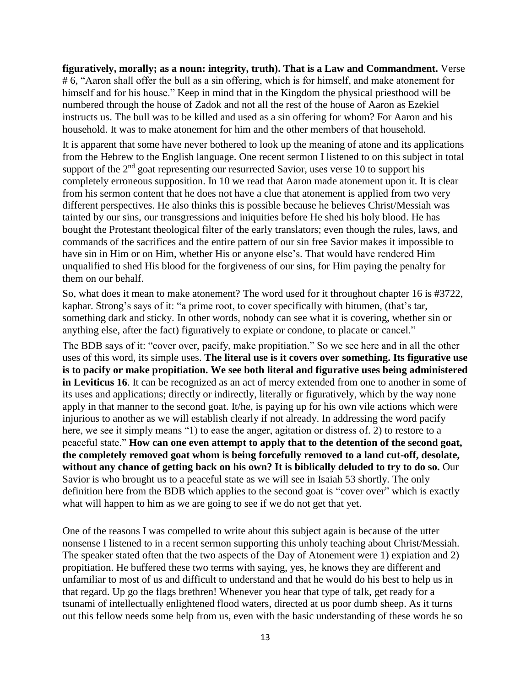**figuratively, morally; as a noun: integrity, truth). That is a Law and Commandment.** Verse # 6, "Aaron shall offer the bull as a sin offering, which is for himself, and make atonement for himself and for his house." Keep in mind that in the Kingdom the physical priesthood will be numbered through the house of Zadok and not all the rest of the house of Aaron as Ezekiel instructs us. The bull was to be killed and used as a sin offering for whom? For Aaron and his household. It was to make atonement for him and the other members of that household.

It is apparent that some have never bothered to look up the meaning of atone and its applications from the Hebrew to the English language. One recent sermon I listened to on this subject in total support of the  $2<sup>nd</sup>$  goat representing our resurrected Savior, uses verse 10 to support his completely erroneous supposition. In 10 we read that Aaron made atonement upon it. It is clear from his sermon content that he does not have a clue that atonement is applied from two very different perspectives. He also thinks this is possible because he believes Christ/Messiah was tainted by our sins, our transgressions and iniquities before He shed his holy blood. He has bought the Protestant theological filter of the early translators; even though the rules, laws, and commands of the sacrifices and the entire pattern of our sin free Savior makes it impossible to have sin in Him or on Him, whether His or anyone else's. That would have rendered Him unqualified to shed His blood for the forgiveness of our sins, for Him paying the penalty for them on our behalf.

So, what does it mean to make atonement? The word used for it throughout chapter 16 is #3722, kaphar. Strong's says of it: "a prime root, to cover specifically with bitumen, (that's tar, something dark and sticky. In other words, nobody can see what it is covering, whether sin or anything else, after the fact) figuratively to expiate or condone, to placate or cancel."

The BDB says of it: "cover over, pacify, make propitiation." So we see here and in all the other uses of this word, its simple uses. **The literal use is it covers over something. Its figurative use is to pacify or make propitiation. We see both literal and figurative uses being administered in Leviticus 16**. It can be recognized as an act of mercy extended from one to another in some of its uses and applications; directly or indirectly, literally or figuratively, which by the way none apply in that manner to the second goat. It/he, is paying up for his own vile actions which were injurious to another as we will establish clearly if not already. In addressing the word pacify here, we see it simply means "1) to ease the anger, agitation or distress of. 2) to restore to a peaceful state." **How can one even attempt to apply that to the detention of the second goat, the completely removed goat whom is being forcefully removed to a land cut-off, desolate, without any chance of getting back on his own? It is biblically deluded to try to do so.** Our Savior is who brought us to a peaceful state as we will see in Isaiah 53 shortly. The only definition here from the BDB which applies to the second goat is "cover over" which is exactly what will happen to him as we are going to see if we do not get that yet.

One of the reasons I was compelled to write about this subject again is because of the utter nonsense I listened to in a recent sermon supporting this unholy teaching about Christ/Messiah. The speaker stated often that the two aspects of the Day of Atonement were 1) expiation and 2) propitiation. He buffered these two terms with saying, yes, he knows they are different and unfamiliar to most of us and difficult to understand and that he would do his best to help us in that regard. Up go the flags brethren! Whenever you hear that type of talk, get ready for a tsunami of intellectually enlightened flood waters, directed at us poor dumb sheep. As it turns out this fellow needs some help from us, even with the basic understanding of these words he so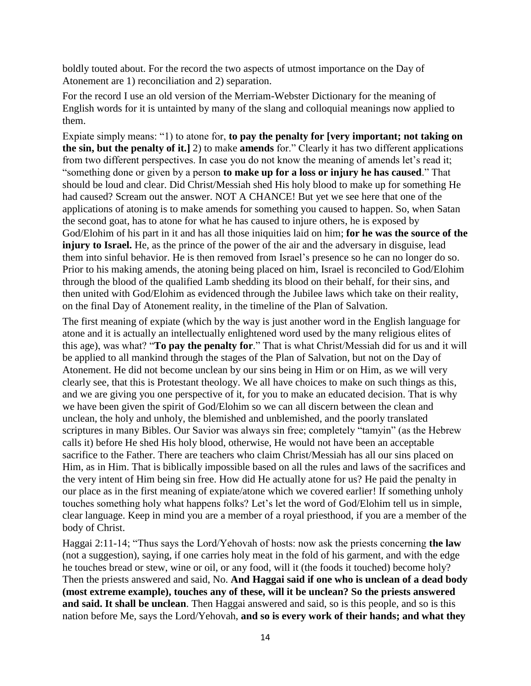boldly touted about. For the record the two aspects of utmost importance on the Day of Atonement are 1) reconciliation and 2) separation.

For the record I use an old version of the Merriam-Webster Dictionary for the meaning of English words for it is untainted by many of the slang and colloquial meanings now applied to them.

Expiate simply means: "1) to atone for, **to pay the penalty for [very important; not taking on the sin, but the penalty of it.]** 2) to make **amends** for." Clearly it has two different applications from two different perspectives. In case you do not know the meaning of amends let's read it; "something done or given by a person **to make up for a loss or injury he has caused**." That should be loud and clear. Did Christ/Messiah shed His holy blood to make up for something He had caused? Scream out the answer. NOT A CHANCE! But yet we see here that one of the applications of atoning is to make amends for something you caused to happen. So, when Satan the second goat, has to atone for what he has caused to injure others, he is exposed by God/Elohim of his part in it and has all those iniquities laid on him; **for he was the source of the injury to Israel.** He, as the prince of the power of the air and the adversary in disguise, lead them into sinful behavior. He is then removed from Israel's presence so he can no longer do so. Prior to his making amends, the atoning being placed on him, Israel is reconciled to God/Elohim through the blood of the qualified Lamb shedding its blood on their behalf, for their sins, and then united with God/Elohim as evidenced through the Jubilee laws which take on their reality, on the final Day of Atonement reality, in the timeline of the Plan of Salvation.

The first meaning of expiate (which by the way is just another word in the English language for atone and it is actually an intellectually enlightened word used by the many religious elites of this age), was what? "**To pay the penalty for**." That is what Christ/Messiah did for us and it will be applied to all mankind through the stages of the Plan of Salvation, but not on the Day of Atonement. He did not become unclean by our sins being in Him or on Him, as we will very clearly see, that this is Protestant theology. We all have choices to make on such things as this, and we are giving you one perspective of it, for you to make an educated decision. That is why we have been given the spirit of God/Elohim so we can all discern between the clean and unclean, the holy and unholy, the blemished and unblemished, and the poorly translated scriptures in many Bibles. Our Savior was always sin free; completely "tamyin" (as the Hebrew calls it) before He shed His holy blood, otherwise, He would not have been an acceptable sacrifice to the Father. There are teachers who claim Christ/Messiah has all our sins placed on Him, as in Him. That is biblically impossible based on all the rules and laws of the sacrifices and the very intent of Him being sin free. How did He actually atone for us? He paid the penalty in our place as in the first meaning of expiate/atone which we covered earlier! If something unholy touches something holy what happens folks? Let's let the word of God/Elohim tell us in simple, clear language. Keep in mind you are a member of a royal priesthood, if you are a member of the body of Christ.

Haggai 2:11-14; "Thus says the Lord/Yehovah of hosts: now ask the priests concerning **the law** (not a suggestion), saying, if one carries holy meat in the fold of his garment, and with the edge he touches bread or stew, wine or oil, or any food, will it (the foods it touched) become holy? Then the priests answered and said, No. **And Haggai said if one who is unclean of a dead body (most extreme example), touches any of these, will it be unclean? So the priests answered and said. It shall be unclean**. Then Haggai answered and said, so is this people, and so is this nation before Me, says the Lord/Yehovah, **and so is every work of their hands; and what they**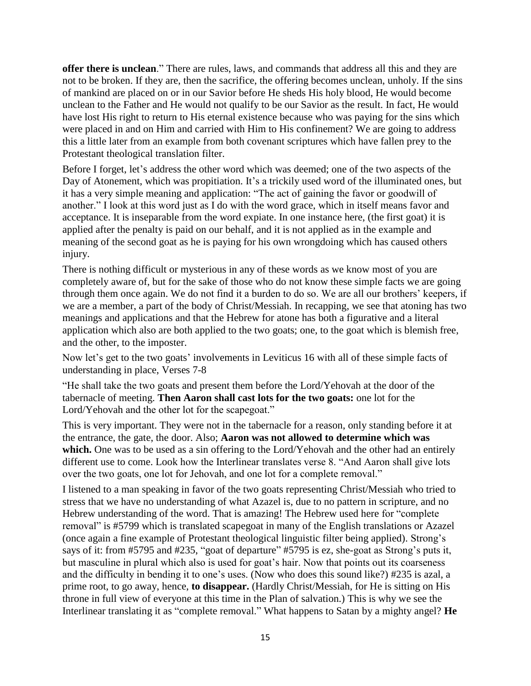**offer there is unclean**." There are rules, laws, and commands that address all this and they are not to be broken. If they are, then the sacrifice, the offering becomes unclean, unholy. If the sins of mankind are placed on or in our Savior before He sheds His holy blood, He would become unclean to the Father and He would not qualify to be our Savior as the result. In fact, He would have lost His right to return to His eternal existence because who was paying for the sins which were placed in and on Him and carried with Him to His confinement? We are going to address this a little later from an example from both covenant scriptures which have fallen prey to the Protestant theological translation filter.

Before I forget, let's address the other word which was deemed; one of the two aspects of the Day of Atonement, which was propitiation. It's a trickily used word of the illuminated ones, but it has a very simple meaning and application: "The act of gaining the favor or goodwill of another." I look at this word just as I do with the word grace, which in itself means favor and acceptance. It is inseparable from the word expiate. In one instance here, (the first goat) it is applied after the penalty is paid on our behalf, and it is not applied as in the example and meaning of the second goat as he is paying for his own wrongdoing which has caused others injury.

There is nothing difficult or mysterious in any of these words as we know most of you are completely aware of, but for the sake of those who do not know these simple facts we are going through them once again. We do not find it a burden to do so. We are all our brothers' keepers, if we are a member, a part of the body of Christ/Messiah. In recapping, we see that atoning has two meanings and applications and that the Hebrew for atone has both a figurative and a literal application which also are both applied to the two goats; one, to the goat which is blemish free, and the other, to the imposter.

Now let's get to the two goats' involvements in Leviticus 16 with all of these simple facts of understanding in place, Verses 7-8

"He shall take the two goats and present them before the Lord/Yehovah at the door of the tabernacle of meeting. **Then Aaron shall cast lots for the two goats:** one lot for the Lord/Yehovah and the other lot for the scapegoat."

This is very important. They were not in the tabernacle for a reason, only standing before it at the entrance, the gate, the door. Also; **Aaron was not allowed to determine which was which.** One was to be used as a sin offering to the Lord/Yehovah and the other had an entirely different use to come. Look how the Interlinear translates verse 8. "And Aaron shall give lots over the two goats, one lot for Jehovah, and one lot for a complete removal."

I listened to a man speaking in favor of the two goats representing Christ/Messiah who tried to stress that we have no understanding of what Azazel is, due to no pattern in scripture, and no Hebrew understanding of the word. That is amazing! The Hebrew used here for "complete removal" is #5799 which is translated scapegoat in many of the English translations or Azazel (once again a fine example of Protestant theological linguistic filter being applied). Strong's says of it: from #5795 and #235, "goat of departure" #5795 is ez, she-goat as Strong's puts it, but masculine in plural which also is used for goat's hair. Now that points out its coarseness and the difficulty in bending it to one's uses. (Now who does this sound like?) #235 is azal, a prime root, to go away, hence, **to disappear.** (Hardly Christ/Messiah, for He is sitting on His throne in full view of everyone at this time in the Plan of salvation.) This is why we see the Interlinear translating it as "complete removal." What happens to Satan by a mighty angel? **He**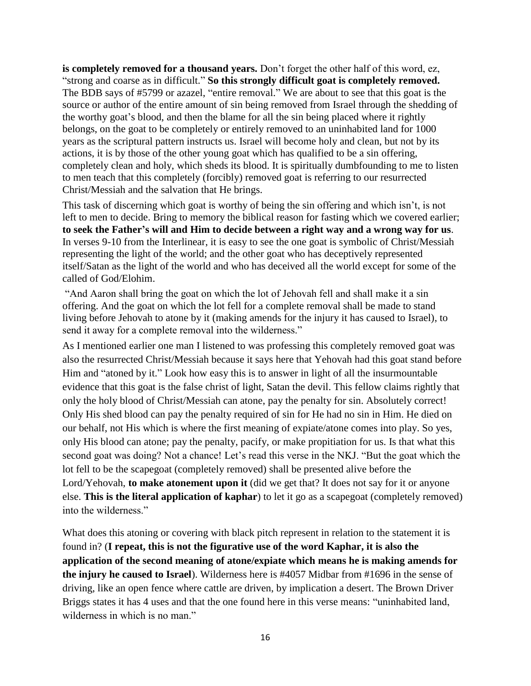**is completely removed for a thousand years.** Don't forget the other half of this word, ez, "strong and coarse as in difficult." **So this strongly difficult goat is completely removed.** The BDB says of #5799 or azazel, "entire removal." We are about to see that this goat is the source or author of the entire amount of sin being removed from Israel through the shedding of the worthy goat's blood, and then the blame for all the sin being placed where it rightly belongs, on the goat to be completely or entirely removed to an uninhabited land for 1000 years as the scriptural pattern instructs us. Israel will become holy and clean, but not by its actions, it is by those of the other young goat which has qualified to be a sin offering, completely clean and holy, which sheds its blood. It is spiritually dumbfounding to me to listen to men teach that this completely (forcibly) removed goat is referring to our resurrected Christ/Messiah and the salvation that He brings.

This task of discerning which goat is worthy of being the sin offering and which isn't, is not left to men to decide. Bring to memory the biblical reason for fasting which we covered earlier; **to seek the Father's will and Him to decide between a right way and a wrong way for us**. In verses 9-10 from the Interlinear, it is easy to see the one goat is symbolic of Christ/Messiah representing the light of the world; and the other goat who has deceptively represented itself/Satan as the light of the world and who has deceived all the world except for some of the called of God/Elohim.

"And Aaron shall bring the goat on which the lot of Jehovah fell and shall make it a sin offering. And the goat on which the lot fell for a complete removal shall be made to stand living before Jehovah to atone by it (making amends for the injury it has caused to Israel), to send it away for a complete removal into the wilderness."

As I mentioned earlier one man I listened to was professing this completely removed goat was also the resurrected Christ/Messiah because it says here that Yehovah had this goat stand before Him and "atoned by it." Look how easy this is to answer in light of all the insurmountable evidence that this goat is the false christ of light, Satan the devil. This fellow claims rightly that only the holy blood of Christ/Messiah can atone, pay the penalty for sin. Absolutely correct! Only His shed blood can pay the penalty required of sin for He had no sin in Him. He died on our behalf, not His which is where the first meaning of expiate/atone comes into play. So yes, only His blood can atone; pay the penalty, pacify, or make propitiation for us. Is that what this second goat was doing? Not a chance! Let's read this verse in the NKJ. "But the goat which the lot fell to be the scapegoat (completely removed) shall be presented alive before the Lord/Yehovah, **to make atonement upon it** (did we get that? It does not say for it or anyone else. **This is the literal application of kaphar**) to let it go as a scapegoat (completely removed) into the wilderness."

What does this atoning or covering with black pitch represent in relation to the statement it is found in? (**I repeat, this is not the figurative use of the word Kaphar, it is also the application of the second meaning of atone/expiate which means he is making amends for the injury he caused to Israel**). Wilderness here is #4057 Midbar from #1696 in the sense of driving, like an open fence where cattle are driven, by implication a desert. The Brown Driver Briggs states it has 4 uses and that the one found here in this verse means: "uninhabited land, wilderness in which is no man."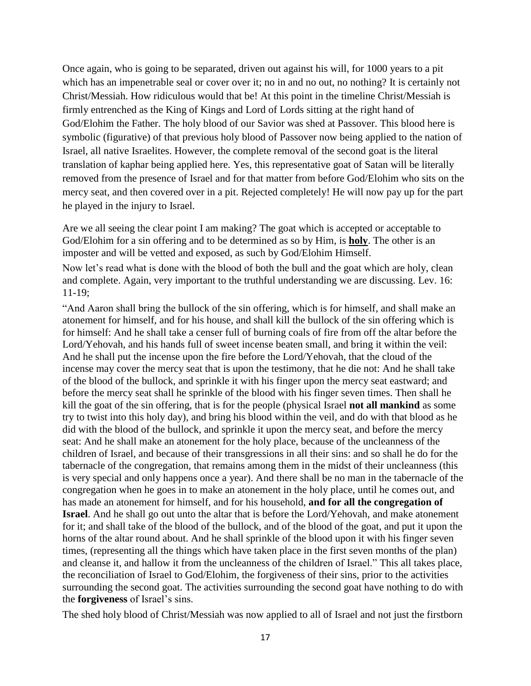Once again, who is going to be separated, driven out against his will, for 1000 years to a pit which has an impenetrable seal or cover over it; no in and no out, no nothing? It is certainly not Christ/Messiah. How ridiculous would that be! At this point in the timeline Christ/Messiah is firmly entrenched as the King of Kings and Lord of Lords sitting at the right hand of God/Elohim the Father. The holy blood of our Savior was shed at Passover. This blood here is symbolic (figurative) of that previous holy blood of Passover now being applied to the nation of Israel, all native Israelites. However, the complete removal of the second goat is the literal translation of kaphar being applied here. Yes, this representative goat of Satan will be literally removed from the presence of Israel and for that matter from before God/Elohim who sits on the mercy seat, and then covered over in a pit. Rejected completely! He will now pay up for the part he played in the injury to Israel.

Are we all seeing the clear point I am making? The goat which is accepted or acceptable to God/Elohim for a sin offering and to be determined as so by Him, is **holy**. The other is an imposter and will be vetted and exposed, as such by God/Elohim Himself.

Now let's read what is done with the blood of both the bull and the goat which are holy, clean and complete. Again, very important to the truthful understanding we are discussing. Lev. 16: 11-19;

"And Aaron shall bring the bullock of the sin offering, which is for himself, and shall make an atonement for himself, and for his house, and shall kill the bullock of the sin offering which is for himself: And he shall take a censer full of burning coals of fire from off the altar before the Lord/Yehovah, and his hands full of sweet incense beaten small, and bring it within the veil: And he shall put the incense upon the fire before the Lord/Yehovah, that the cloud of the incense may cover the mercy seat that is upon the testimony, that he die not: And he shall take of the blood of the bullock, and sprinkle it with his finger upon the mercy seat eastward; and before the mercy seat shall he sprinkle of the blood with his finger seven times. Then shall he kill the goat of the sin offering, that is for the people (physical Israel **not all mankind** as some try to twist into this holy day), and bring his blood within the veil, and do with that blood as he did with the blood of the bullock, and sprinkle it upon the mercy seat, and before the mercy seat: And he shall make an atonement for the holy place, because of the uncleanness of the children of Israel, and because of their transgressions in all their sins: and so shall he do for the tabernacle of the congregation, that remains among them in the midst of their uncleanness (this is very special and only happens once a year). And there shall be no man in the tabernacle of the congregation when he goes in to make an atonement in the holy place, until he comes out, and has made an atonement for himself, and for his household, **and for all the congregation of Israel**. And he shall go out unto the altar that is before the Lord/Yehovah, and make atonement for it; and shall take of the blood of the bullock, and of the blood of the goat, and put it upon the horns of the altar round about. And he shall sprinkle of the blood upon it with his finger seven times, (representing all the things which have taken place in the first seven months of the plan) and cleanse it, and hallow it from the uncleanness of the children of Israel." This all takes place, the reconciliation of Israel to God/Elohim, the forgiveness of their sins, prior to the activities surrounding the second goat. The activities surrounding the second goat have nothing to do with the **forgiveness** of Israel's sins.

The shed holy blood of Christ/Messiah was now applied to all of Israel and not just the firstborn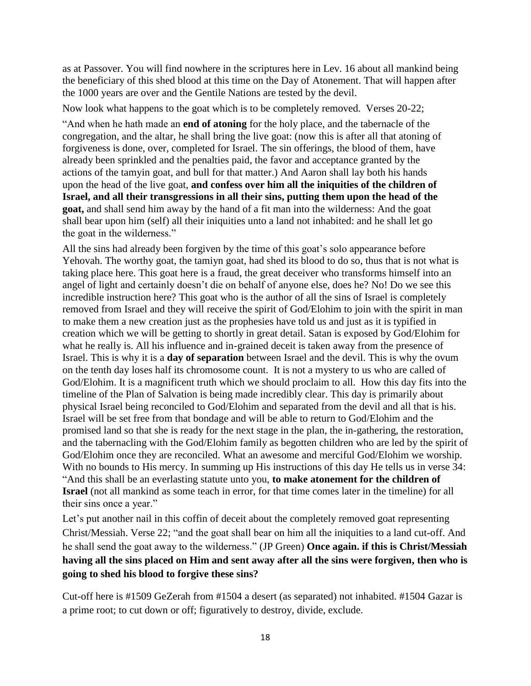as at Passover. You will find nowhere in the scriptures here in Lev. 16 about all mankind being the beneficiary of this shed blood at this time on the Day of Atonement. That will happen after the 1000 years are over and the Gentile Nations are tested by the devil.

Now look what happens to the goat which is to be completely removed. Verses 20-22;

"And when he hath made an **end of atoning** for the holy place, and the tabernacle of the congregation, and the altar, he shall bring the live goat: (now this is after all that atoning of forgiveness is done, over, completed for Israel. The sin offerings, the blood of them, have already been sprinkled and the penalties paid, the favor and acceptance granted by the actions of the tamyin goat, and bull for that matter.) And Aaron shall lay both his hands upon the head of the live goat, **and confess over him all the iniquities of the children of Israel, and all their transgressions in all their sins, putting them upon the head of the goat,** and shall send him away by the hand of a fit man into the wilderness: And the goat shall bear upon him (self) all their iniquities unto a land not inhabited: and he shall let go the goat in the wilderness."

All the sins had already been forgiven by the time of this goat's solo appearance before Yehovah. The worthy goat, the tamiyn goat, had shed its blood to do so, thus that is not what is taking place here. This goat here is a fraud, the great deceiver who transforms himself into an angel of light and certainly doesn't die on behalf of anyone else, does he? No! Do we see this incredible instruction here? This goat who is the author of all the sins of Israel is completely removed from Israel and they will receive the spirit of God/Elohim to join with the spirit in man to make them a new creation just as the prophesies have told us and just as it is typified in creation which we will be getting to shortly in great detail. Satan is exposed by God/Elohim for what he really is. All his influence and in-grained deceit is taken away from the presence of Israel. This is why it is a **day of separation** between Israel and the devil. This is why the ovum on the tenth day loses half its chromosome count. It is not a mystery to us who are called of God/Elohim. It is a magnificent truth which we should proclaim to all. How this day fits into the timeline of the Plan of Salvation is being made incredibly clear. This day is primarily about physical Israel being reconciled to God/Elohim and separated from the devil and all that is his. Israel will be set free from that bondage and will be able to return to God/Elohim and the promised land so that she is ready for the next stage in the plan, the in-gathering, the restoration, and the tabernacling with the God/Elohim family as begotten children who are led by the spirit of God/Elohim once they are reconciled. What an awesome and merciful God/Elohim we worship. With no bounds to His mercy. In summing up His instructions of this day He tells us in verse 34: "And this shall be an everlasting statute unto you, **to make atonement for the children of Israel** (not all mankind as some teach in error, for that time comes later in the timeline) for all their sins once a year."

Let's put another nail in this coffin of deceit about the completely removed goat representing Christ/Messiah. Verse 22; "and the goat shall bear on him all the iniquities to a land cut-off. And he shall send the goat away to the wilderness." (JP Green) **Once again. if this is Christ/Messiah having all the sins placed on Him and sent away after all the sins were forgiven, then who is going to shed his blood to forgive these sins?**

Cut-off here is #1509 GeZerah from #1504 a desert (as separated) not inhabited. #1504 Gazar is a prime root; to cut down or off; figuratively to destroy, divide, exclude.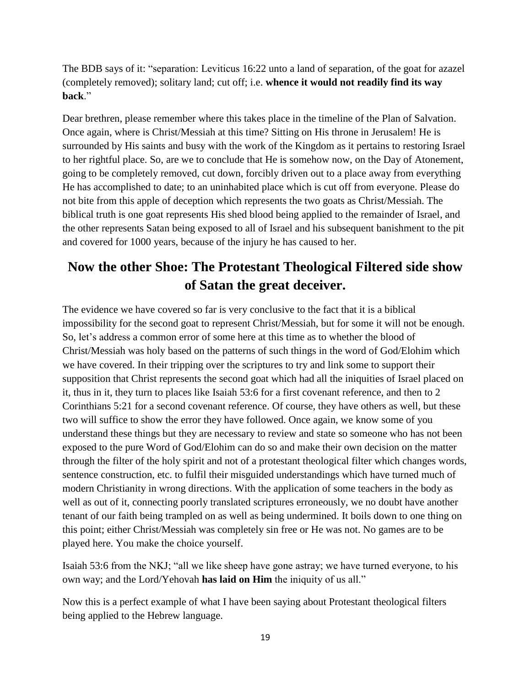The BDB says of it: "separation: Leviticus 16:22 unto a land of separation, of the goat for azazel (completely removed); solitary land; cut off; i.e. **whence it would not readily find its way back**."

Dear brethren, please remember where this takes place in the timeline of the Plan of Salvation. Once again, where is Christ/Messiah at this time? Sitting on His throne in Jerusalem! He is surrounded by His saints and busy with the work of the Kingdom as it pertains to restoring Israel to her rightful place. So, are we to conclude that He is somehow now, on the Day of Atonement, going to be completely removed, cut down, forcibly driven out to a place away from everything He has accomplished to date; to an uninhabited place which is cut off from everyone. Please do not bite from this apple of deception which represents the two goats as Christ/Messiah. The biblical truth is one goat represents His shed blood being applied to the remainder of Israel, and the other represents Satan being exposed to all of Israel and his subsequent banishment to the pit and covered for 1000 years, because of the injury he has caused to her.

# **Now the other Shoe: The Protestant Theological Filtered side show of Satan the great deceiver.**

The evidence we have covered so far is very conclusive to the fact that it is a biblical impossibility for the second goat to represent Christ/Messiah, but for some it will not be enough. So, let's address a common error of some here at this time as to whether the blood of Christ/Messiah was holy based on the patterns of such things in the word of God/Elohim which we have covered. In their tripping over the scriptures to try and link some to support their supposition that Christ represents the second goat which had all the iniquities of Israel placed on it, thus in it, they turn to places like Isaiah 53:6 for a first covenant reference, and then to 2 Corinthians 5:21 for a second covenant reference. Of course, they have others as well, but these two will suffice to show the error they have followed. Once again, we know some of you understand these things but they are necessary to review and state so someone who has not been exposed to the pure Word of God/Elohim can do so and make their own decision on the matter through the filter of the holy spirit and not of a protestant theological filter which changes words, sentence construction, etc. to fulfil their misguided understandings which have turned much of modern Christianity in wrong directions. With the application of some teachers in the body as well as out of it, connecting poorly translated scriptures erroneously, we no doubt have another tenant of our faith being trampled on as well as being undermined. It boils down to one thing on this point; either Christ/Messiah was completely sin free or He was not. No games are to be played here. You make the choice yourself.

Isaiah 53:6 from the NKJ; "all we like sheep have gone astray; we have turned everyone, to his own way; and the Lord/Yehovah **has laid on Him** the iniquity of us all."

Now this is a perfect example of what I have been saying about Protestant theological filters being applied to the Hebrew language.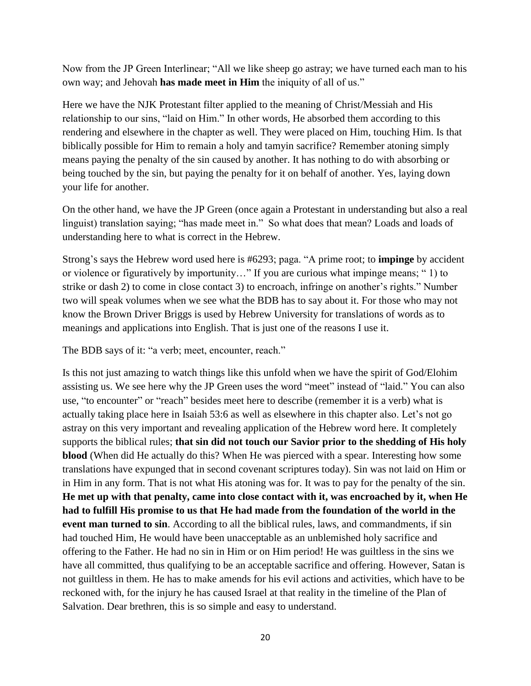Now from the JP Green Interlinear; "All we like sheep go astray; we have turned each man to his own way; and Jehovah **has made meet in Him** the iniquity of all of us."

Here we have the NJK Protestant filter applied to the meaning of Christ/Messiah and His relationship to our sins, "laid on Him." In other words, He absorbed them according to this rendering and elsewhere in the chapter as well. They were placed on Him, touching Him. Is that biblically possible for Him to remain a holy and tamyin sacrifice? Remember atoning simply means paying the penalty of the sin caused by another. It has nothing to do with absorbing or being touched by the sin, but paying the penalty for it on behalf of another. Yes, laying down your life for another.

On the other hand, we have the JP Green (once again a Protestant in understanding but also a real linguist) translation saying; "has made meet in." So what does that mean? Loads and loads of understanding here to what is correct in the Hebrew.

Strong's says the Hebrew word used here is #6293; paga. "A prime root; to **impinge** by accident or violence or figuratively by importunity…" If you are curious what impinge means; " 1) to strike or dash 2) to come in close contact 3) to encroach, infringe on another's rights." Number two will speak volumes when we see what the BDB has to say about it. For those who may not know the Brown Driver Briggs is used by Hebrew University for translations of words as to meanings and applications into English. That is just one of the reasons I use it.

The BDB says of it: "a verb; meet, encounter, reach."

Is this not just amazing to watch things like this unfold when we have the spirit of God/Elohim assisting us. We see here why the JP Green uses the word "meet" instead of "laid." You can also use, "to encounter" or "reach" besides meet here to describe (remember it is a verb) what is actually taking place here in Isaiah 53:6 as well as elsewhere in this chapter also. Let's not go astray on this very important and revealing application of the Hebrew word here. It completely supports the biblical rules; **that sin did not touch our Savior prior to the shedding of His holy blood** (When did He actually do this? When He was pierced with a spear. Interesting how some translations have expunged that in second covenant scriptures today). Sin was not laid on Him or in Him in any form. That is not what His atoning was for. It was to pay for the penalty of the sin. **He met up with that penalty, came into close contact with it, was encroached by it, when He had to fulfill His promise to us that He had made from the foundation of the world in the event man turned to sin**. According to all the biblical rules, laws, and commandments, if sin had touched Him, He would have been unacceptable as an unblemished holy sacrifice and offering to the Father. He had no sin in Him or on Him period! He was guiltless in the sins we have all committed, thus qualifying to be an acceptable sacrifice and offering. However, Satan is not guiltless in them. He has to make amends for his evil actions and activities, which have to be reckoned with, for the injury he has caused Israel at that reality in the timeline of the Plan of Salvation. Dear brethren, this is so simple and easy to understand.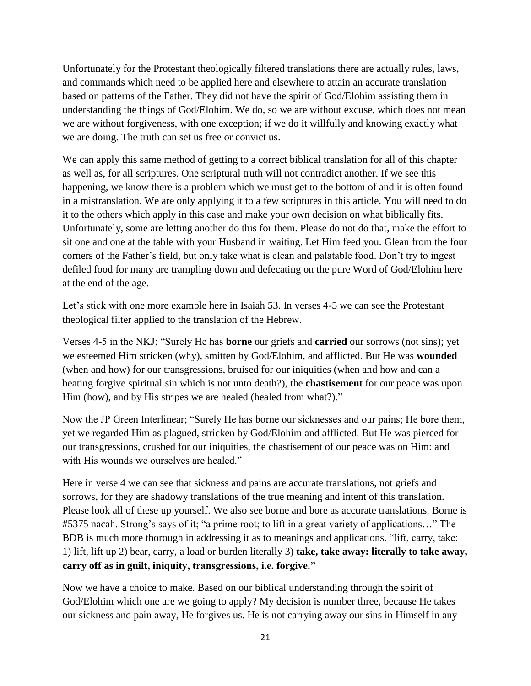Unfortunately for the Protestant theologically filtered translations there are actually rules, laws, and commands which need to be applied here and elsewhere to attain an accurate translation based on patterns of the Father. They did not have the spirit of God/Elohim assisting them in understanding the things of God/Elohim. We do, so we are without excuse, which does not mean we are without forgiveness, with one exception; if we do it willfully and knowing exactly what we are doing. The truth can set us free or convict us.

We can apply this same method of getting to a correct biblical translation for all of this chapter as well as, for all scriptures. One scriptural truth will not contradict another. If we see this happening, we know there is a problem which we must get to the bottom of and it is often found in a mistranslation. We are only applying it to a few scriptures in this article. You will need to do it to the others which apply in this case and make your own decision on what biblically fits. Unfortunately, some are letting another do this for them. Please do not do that, make the effort to sit one and one at the table with your Husband in waiting. Let Him feed you. Glean from the four corners of the Father's field, but only take what is clean and palatable food. Don't try to ingest defiled food for many are trampling down and defecating on the pure Word of God/Elohim here at the end of the age.

Let's stick with one more example here in Isaiah 53. In verses 4-5 we can see the Protestant theological filter applied to the translation of the Hebrew.

Verses 4-5 in the NKJ; "Surely He has **borne** our griefs and **carried** our sorrows (not sins); yet we esteemed Him stricken (why), smitten by God/Elohim, and afflicted. But He was **wounded** (when and how) for our transgressions, bruised for our iniquities (when and how and can a beating forgive spiritual sin which is not unto death?), the **chastisement** for our peace was upon Him (how), and by His stripes we are healed (healed from what?)."

Now the JP Green Interlinear; "Surely He has borne our sicknesses and our pains; He bore them, yet we regarded Him as plagued, stricken by God/Elohim and afflicted. But He was pierced for our transgressions, crushed for our iniquities, the chastisement of our peace was on Him: and with His wounds we ourselves are healed."

Here in verse 4 we can see that sickness and pains are accurate translations, not griefs and sorrows, for they are shadowy translations of the true meaning and intent of this translation. Please look all of these up yourself. We also see borne and bore as accurate translations. Borne is #5375 nacah. Strong's says of it; "a prime root; to lift in a great variety of applications…" The BDB is much more thorough in addressing it as to meanings and applications. "lift, carry, take: 1) lift, lift up 2) bear, carry, a load or burden literally 3) **take, take away: literally to take away, carry off as in guilt, iniquity, transgressions, i.e. forgive."**

Now we have a choice to make. Based on our biblical understanding through the spirit of God/Elohim which one are we going to apply? My decision is number three, because He takes our sickness and pain away, He forgives us. He is not carrying away our sins in Himself in any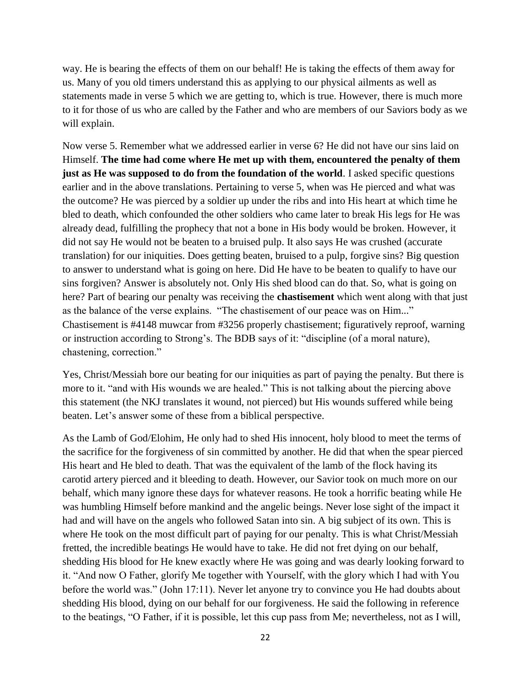way. He is bearing the effects of them on our behalf! He is taking the effects of them away for us. Many of you old timers understand this as applying to our physical ailments as well as statements made in verse 5 which we are getting to, which is true. However, there is much more to it for those of us who are called by the Father and who are members of our Saviors body as we will explain.

Now verse 5. Remember what we addressed earlier in verse 6? He did not have our sins laid on Himself. **The time had come where He met up with them, encountered the penalty of them just as He was supposed to do from the foundation of the world**. I asked specific questions earlier and in the above translations. Pertaining to verse 5, when was He pierced and what was the outcome? He was pierced by a soldier up under the ribs and into His heart at which time he bled to death, which confounded the other soldiers who came later to break His legs for He was already dead, fulfilling the prophecy that not a bone in His body would be broken. However, it did not say He would not be beaten to a bruised pulp. It also says He was crushed (accurate translation) for our iniquities. Does getting beaten, bruised to a pulp, forgive sins? Big question to answer to understand what is going on here. Did He have to be beaten to qualify to have our sins forgiven? Answer is absolutely not. Only His shed blood can do that. So, what is going on here? Part of bearing our penalty was receiving the **chastisement** which went along with that just as the balance of the verse explains. "The chastisement of our peace was on Him..." Chastisement is #4148 muwcar from #3256 properly chastisement; figuratively reproof, warning or instruction according to Strong's. The BDB says of it: "discipline (of a moral nature), chastening, correction."

Yes, Christ/Messiah bore our beating for our iniquities as part of paying the penalty. But there is more to it. "and with His wounds we are healed." This is not talking about the piercing above this statement (the NKJ translates it wound, not pierced) but His wounds suffered while being beaten. Let's answer some of these from a biblical perspective.

As the Lamb of God/Elohim, He only had to shed His innocent, holy blood to meet the terms of the sacrifice for the forgiveness of sin committed by another. He did that when the spear pierced His heart and He bled to death. That was the equivalent of the lamb of the flock having its carotid artery pierced and it bleeding to death. However, our Savior took on much more on our behalf, which many ignore these days for whatever reasons. He took a horrific beating while He was humbling Himself before mankind and the angelic beings. Never lose sight of the impact it had and will have on the angels who followed Satan into sin. A big subject of its own. This is where He took on the most difficult part of paying for our penalty. This is what Christ/Messiah fretted, the incredible beatings He would have to take. He did not fret dying on our behalf, shedding His blood for He knew exactly where He was going and was dearly looking forward to it. "And now O Father, glorify Me together with Yourself, with the glory which I had with You before the world was." (John 17:11). Never let anyone try to convince you He had doubts about shedding His blood, dying on our behalf for our forgiveness. He said the following in reference to the beatings, "O Father, if it is possible, let this cup pass from Me; nevertheless, not as I will,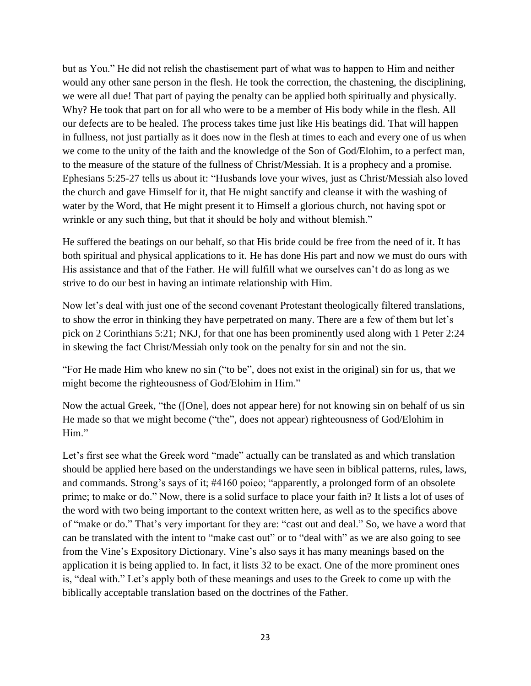but as You." He did not relish the chastisement part of what was to happen to Him and neither would any other sane person in the flesh. He took the correction, the chastening, the disciplining, we were all due! That part of paying the penalty can be applied both spiritually and physically. Why? He took that part on for all who were to be a member of His body while in the flesh. All our defects are to be healed. The process takes time just like His beatings did. That will happen in fullness, not just partially as it does now in the flesh at times to each and every one of us when we come to the unity of the faith and the knowledge of the Son of God/Elohim, to a perfect man, to the measure of the stature of the fullness of Christ/Messiah. It is a prophecy and a promise. Ephesians 5:25-27 tells us about it: "Husbands love your wives, just as Christ/Messiah also loved the church and gave Himself for it, that He might sanctify and cleanse it with the washing of water by the Word, that He might present it to Himself a glorious church, not having spot or wrinkle or any such thing, but that it should be holy and without blemish."

He suffered the beatings on our behalf, so that His bride could be free from the need of it. It has both spiritual and physical applications to it. He has done His part and now we must do ours with His assistance and that of the Father. He will fulfill what we ourselves can't do as long as we strive to do our best in having an intimate relationship with Him.

Now let's deal with just one of the second covenant Protestant theologically filtered translations, to show the error in thinking they have perpetrated on many. There are a few of them but let's pick on 2 Corinthians 5:21; NKJ, for that one has been prominently used along with 1 Peter 2:24 in skewing the fact Christ/Messiah only took on the penalty for sin and not the sin.

"For He made Him who knew no sin ("to be", does not exist in the original) sin for us, that we might become the righteousness of God/Elohim in Him."

Now the actual Greek, "the ([One], does not appear here) for not knowing sin on behalf of us sin He made so that we might become ("the", does not appear) righteousness of God/Elohim in Him"

Let's first see what the Greek word "made" actually can be translated as and which translation should be applied here based on the understandings we have seen in biblical patterns, rules, laws, and commands. Strong's says of it; #4160 poieo; "apparently, a prolonged form of an obsolete prime; to make or do." Now, there is a solid surface to place your faith in? It lists a lot of uses of the word with two being important to the context written here, as well as to the specifics above of "make or do." That's very important for they are: "cast out and deal." So, we have a word that can be translated with the intent to "make cast out" or to "deal with" as we are also going to see from the Vine's Expository Dictionary. Vine's also says it has many meanings based on the application it is being applied to. In fact, it lists 32 to be exact. One of the more prominent ones is, "deal with." Let's apply both of these meanings and uses to the Greek to come up with the biblically acceptable translation based on the doctrines of the Father.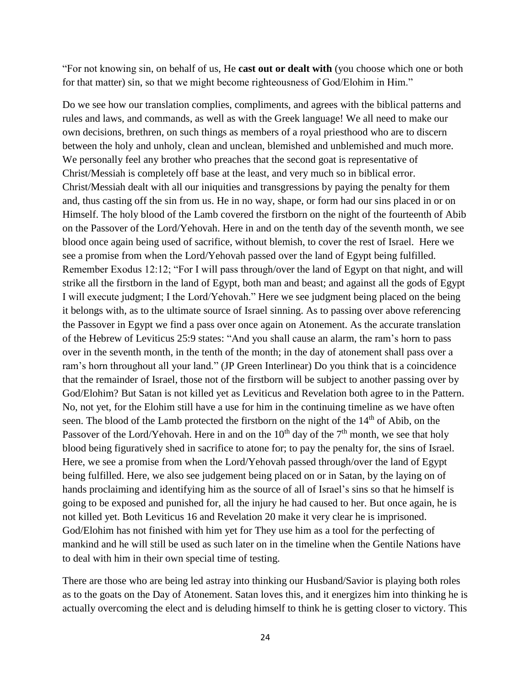"For not knowing sin, on behalf of us, He **cast out or dealt with** (you choose which one or both for that matter) sin, so that we might become righteousness of God/Elohim in Him."

Do we see how our translation complies, compliments, and agrees with the biblical patterns and rules and laws, and commands, as well as with the Greek language! We all need to make our own decisions, brethren, on such things as members of a royal priesthood who are to discern between the holy and unholy, clean and unclean, blemished and unblemished and much more. We personally feel any brother who preaches that the second goat is representative of Christ/Messiah is completely off base at the least, and very much so in biblical error. Christ/Messiah dealt with all our iniquities and transgressions by paying the penalty for them and, thus casting off the sin from us. He in no way, shape, or form had our sins placed in or on Himself. The holy blood of the Lamb covered the firstborn on the night of the fourteenth of Abib on the Passover of the Lord/Yehovah. Here in and on the tenth day of the seventh month, we see blood once again being used of sacrifice, without blemish, to cover the rest of Israel. Here we see a promise from when the Lord/Yehovah passed over the land of Egypt being fulfilled. Remember Exodus 12:12; "For I will pass through/over the land of Egypt on that night, and will strike all the firstborn in the land of Egypt, both man and beast; and against all the gods of Egypt I will execute judgment; I the Lord/Yehovah." Here we see judgment being placed on the being it belongs with, as to the ultimate source of Israel sinning. As to passing over above referencing the Passover in Egypt we find a pass over once again on Atonement. As the accurate translation of the Hebrew of Leviticus 25:9 states: "And you shall cause an alarm, the ram's horn to pass over in the seventh month, in the tenth of the month; in the day of atonement shall pass over a ram's horn throughout all your land." (JP Green Interlinear) Do you think that is a coincidence that the remainder of Israel, those not of the firstborn will be subject to another passing over by God/Elohim? But Satan is not killed yet as Leviticus and Revelation both agree to in the Pattern. No, not yet, for the Elohim still have a use for him in the continuing timeline as we have often seen. The blood of the Lamb protected the firstborn on the night of the 14<sup>th</sup> of Abib, on the Passover of the Lord/Yehovah. Here in and on the  $10<sup>th</sup>$  day of the  $7<sup>th</sup>$  month, we see that holy blood being figuratively shed in sacrifice to atone for; to pay the penalty for, the sins of Israel. Here, we see a promise from when the Lord/Yehovah passed through/over the land of Egypt being fulfilled. Here, we also see judgement being placed on or in Satan, by the laying on of hands proclaiming and identifying him as the source of all of Israel's sins so that he himself is going to be exposed and punished for, all the injury he had caused to her. But once again, he is not killed yet. Both Leviticus 16 and Revelation 20 make it very clear he is imprisoned. God/Elohim has not finished with him yet for They use him as a tool for the perfecting of mankind and he will still be used as such later on in the timeline when the Gentile Nations have to deal with him in their own special time of testing.

There are those who are being led astray into thinking our Husband/Savior is playing both roles as to the goats on the Day of Atonement. Satan loves this, and it energizes him into thinking he is actually overcoming the elect and is deluding himself to think he is getting closer to victory. This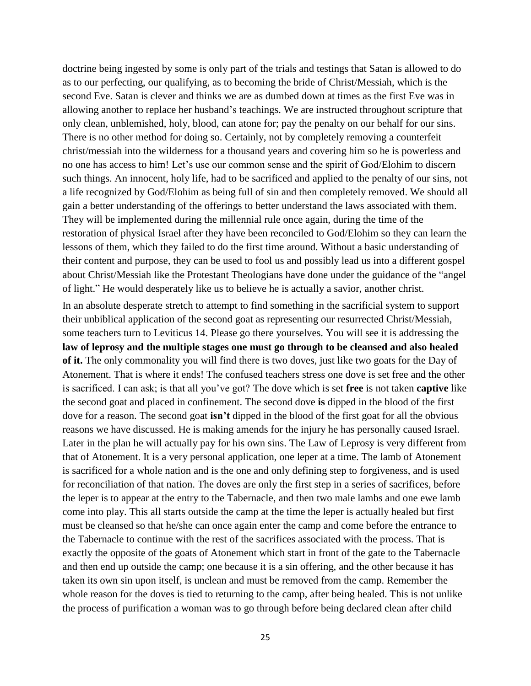doctrine being ingested by some is only part of the trials and testings that Satan is allowed to do as to our perfecting, our qualifying, as to becoming the bride of Christ/Messiah, which is the second Eve. Satan is clever and thinks we are as dumbed down at times as the first Eve was in allowing another to replace her husband's teachings. We are instructed throughout scripture that only clean, unblemished, holy, blood, can atone for; pay the penalty on our behalf for our sins. There is no other method for doing so. Certainly, not by completely removing a counterfeit christ/messiah into the wilderness for a thousand years and covering him so he is powerless and no one has access to him! Let's use our common sense and the spirit of God/Elohim to discern such things. An innocent, holy life, had to be sacrificed and applied to the penalty of our sins, not a life recognized by God/Elohim as being full of sin and then completely removed. We should all gain a better understanding of the offerings to better understand the laws associated with them. They will be implemented during the millennial rule once again, during the time of the restoration of physical Israel after they have been reconciled to God/Elohim so they can learn the lessons of them, which they failed to do the first time around. Without a basic understanding of their content and purpose, they can be used to fool us and possibly lead us into a different gospel about Christ/Messiah like the Protestant Theologians have done under the guidance of the "angel of light." He would desperately like us to believe he is actually a savior, another christ.

In an absolute desperate stretch to attempt to find something in the sacrificial system to support their unbiblical application of the second goat as representing our resurrected Christ/Messiah, some teachers turn to Leviticus 14. Please go there yourselves. You will see it is addressing the **law of leprosy and the multiple stages one must go through to be cleansed and also healed of it.** The only commonality you will find there is two doves, just like two goats for the Day of Atonement. That is where it ends! The confused teachers stress one dove is set free and the other is sacrificed. I can ask; is that all you've got? The dove which is set **free** is not taken **captive** like the second goat and placed in confinement. The second dove **is** dipped in the blood of the first dove for a reason. The second goat **isn't** dipped in the blood of the first goat for all the obvious reasons we have discussed. He is making amends for the injury he has personally caused Israel. Later in the plan he will actually pay for his own sins. The Law of Leprosy is very different from that of Atonement. It is a very personal application, one leper at a time. The lamb of Atonement is sacrificed for a whole nation and is the one and only defining step to forgiveness, and is used for reconciliation of that nation. The doves are only the first step in a series of sacrifices, before the leper is to appear at the entry to the Tabernacle, and then two male lambs and one ewe lamb come into play. This all starts outside the camp at the time the leper is actually healed but first must be cleansed so that he/she can once again enter the camp and come before the entrance to the Tabernacle to continue with the rest of the sacrifices associated with the process. That is exactly the opposite of the goats of Atonement which start in front of the gate to the Tabernacle and then end up outside the camp; one because it is a sin offering, and the other because it has taken its own sin upon itself, is unclean and must be removed from the camp. Remember the whole reason for the doves is tied to returning to the camp, after being healed. This is not unlike the process of purification a woman was to go through before being declared clean after child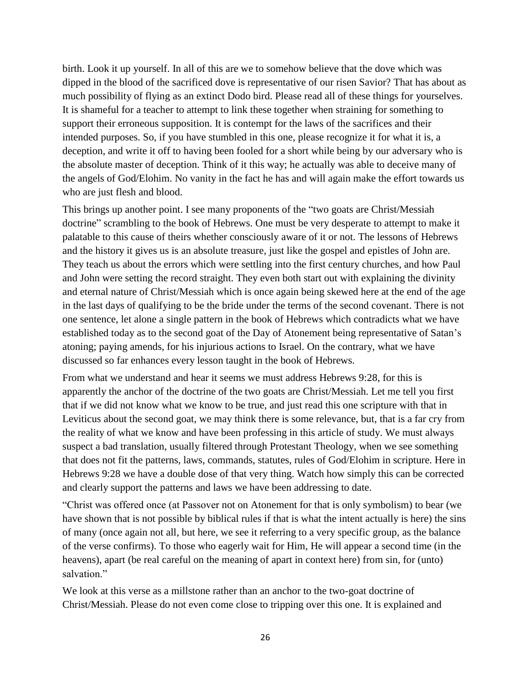birth. Look it up yourself. In all of this are we to somehow believe that the dove which was dipped in the blood of the sacrificed dove is representative of our risen Savior? That has about as much possibility of flying as an extinct Dodo bird. Please read all of these things for yourselves. It is shameful for a teacher to attempt to link these together when straining for something to support their erroneous supposition. It is contempt for the laws of the sacrifices and their intended purposes. So, if you have stumbled in this one, please recognize it for what it is, a deception, and write it off to having been fooled for a short while being by our adversary who is the absolute master of deception. Think of it this way; he actually was able to deceive many of the angels of God/Elohim. No vanity in the fact he has and will again make the effort towards us who are just flesh and blood.

This brings up another point. I see many proponents of the "two goats are Christ/Messiah doctrine" scrambling to the book of Hebrews. One must be very desperate to attempt to make it palatable to this cause of theirs whether consciously aware of it or not. The lessons of Hebrews and the history it gives us is an absolute treasure, just like the gospel and epistles of John are. They teach us about the errors which were settling into the first century churches, and how Paul and John were setting the record straight. They even both start out with explaining the divinity and eternal nature of Christ/Messiah which is once again being skewed here at the end of the age in the last days of qualifying to be the bride under the terms of the second covenant. There is not one sentence, let alone a single pattern in the book of Hebrews which contradicts what we have established today as to the second goat of the Day of Atonement being representative of Satan's atoning; paying amends, for his injurious actions to Israel. On the contrary, what we have discussed so far enhances every lesson taught in the book of Hebrews.

From what we understand and hear it seems we must address Hebrews 9:28, for this is apparently the anchor of the doctrine of the two goats are Christ/Messiah. Let me tell you first that if we did not know what we know to be true, and just read this one scripture with that in Leviticus about the second goat, we may think there is some relevance, but, that is a far cry from the reality of what we know and have been professing in this article of study. We must always suspect a bad translation, usually filtered through Protestant Theology, when we see something that does not fit the patterns, laws, commands, statutes, rules of God/Elohim in scripture. Here in Hebrews 9:28 we have a double dose of that very thing. Watch how simply this can be corrected and clearly support the patterns and laws we have been addressing to date.

"Christ was offered once (at Passover not on Atonement for that is only symbolism) to bear (we have shown that is not possible by biblical rules if that is what the intent actually is here) the sins of many (once again not all, but here, we see it referring to a very specific group, as the balance of the verse confirms). To those who eagerly wait for Him, He will appear a second time (in the heavens), apart (be real careful on the meaning of apart in context here) from sin, for (unto) salvation"

We look at this verse as a millstone rather than an anchor to the two-goat doctrine of Christ/Messiah. Please do not even come close to tripping over this one. It is explained and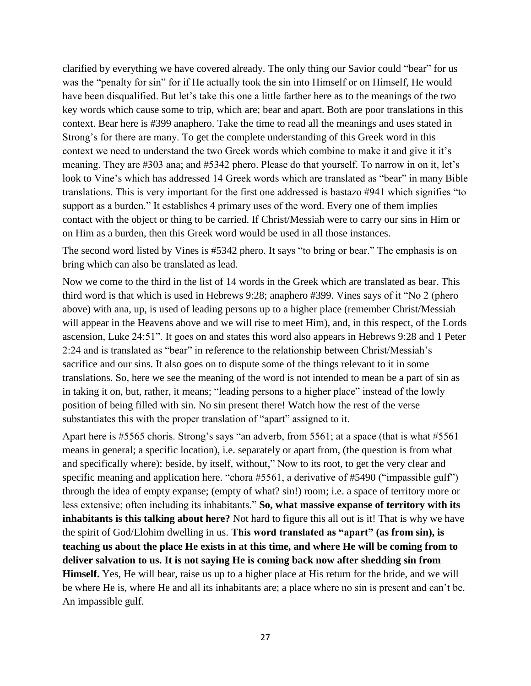clarified by everything we have covered already. The only thing our Savior could "bear" for us was the "penalty for sin" for if He actually took the sin into Himself or on Himself, He would have been disqualified. But let's take this one a little farther here as to the meanings of the two key words which cause some to trip, which are; bear and apart. Both are poor translations in this context. Bear here is #399 anaphero. Take the time to read all the meanings and uses stated in Strong's for there are many. To get the complete understanding of this Greek word in this context we need to understand the two Greek words which combine to make it and give it it's meaning. They are #303 ana; and #5342 phero. Please do that yourself. To narrow in on it, let's look to Vine's which has addressed 14 Greek words which are translated as "bear" in many Bible translations. This is very important for the first one addressed is bastazo #941 which signifies "to support as a burden." It establishes 4 primary uses of the word. Every one of them implies contact with the object or thing to be carried. If Christ/Messiah were to carry our sins in Him or on Him as a burden, then this Greek word would be used in all those instances.

The second word listed by Vines is #5342 phero. It says "to bring or bear." The emphasis is on bring which can also be translated as lead.

Now we come to the third in the list of 14 words in the Greek which are translated as bear. This third word is that which is used in Hebrews 9:28; anaphero #399. Vines says of it "No 2 (phero above) with ana, up, is used of leading persons up to a higher place (remember Christ/Messiah will appear in the Heavens above and we will rise to meet Him), and, in this respect, of the Lords ascension, Luke 24:51". It goes on and states this word also appears in Hebrews 9:28 and 1 Peter 2:24 and is translated as "bear" in reference to the relationship between Christ/Messiah's sacrifice and our sins. It also goes on to dispute some of the things relevant to it in some translations. So, here we see the meaning of the word is not intended to mean be a part of sin as in taking it on, but, rather, it means; "leading persons to a higher place" instead of the lowly position of being filled with sin. No sin present there! Watch how the rest of the verse substantiates this with the proper translation of "apart" assigned to it.

Apart here is #5565 choris. Strong's says "an adverb, from 5561; at a space (that is what #5561 means in general; a specific location), i.e. separately or apart from, (the question is from what and specifically where): beside, by itself, without," Now to its root, to get the very clear and specific meaning and application here. "chora #5561, a derivative of #5490 ("impassible gulf") through the idea of empty expanse; (empty of what? sin!) room; i.e. a space of territory more or less extensive; often including its inhabitants." **So, what massive expanse of territory with its inhabitants is this talking about here?** Not hard to figure this all out is it! That is why we have the spirit of God/Elohim dwelling in us. **This word translated as "apart" (as from sin), is teaching us about the place He exists in at this time, and where He will be coming from to deliver salvation to us. It is not saying He is coming back now after shedding sin from Himself.** Yes, He will bear, raise us up to a higher place at His return for the bride, and we will be where He is, where He and all its inhabitants are; a place where no sin is present and can't be. An impassible gulf.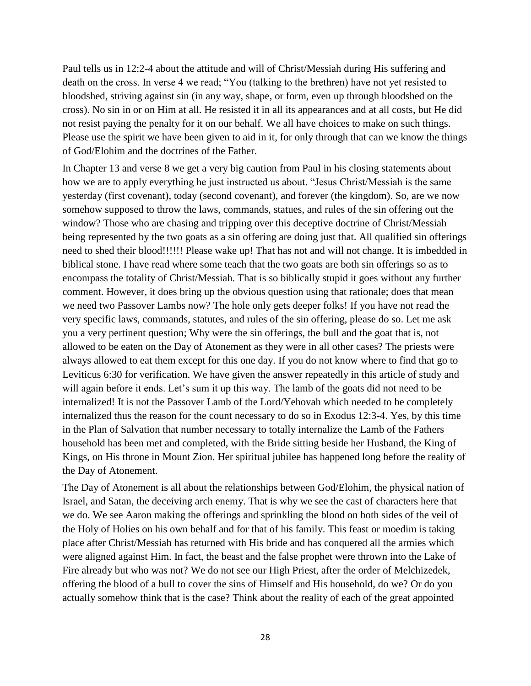Paul tells us in 12:2-4 about the attitude and will of Christ/Messiah during His suffering and death on the cross. In verse 4 we read; "You (talking to the brethren) have not yet resisted to bloodshed, striving against sin (in any way, shape, or form, even up through bloodshed on the cross). No sin in or on Him at all. He resisted it in all its appearances and at all costs, but He did not resist paying the penalty for it on our behalf. We all have choices to make on such things. Please use the spirit we have been given to aid in it, for only through that can we know the things of God/Elohim and the doctrines of the Father.

In Chapter 13 and verse 8 we get a very big caution from Paul in his closing statements about how we are to apply everything he just instructed us about. "Jesus Christ/Messiah is the same yesterday (first covenant), today (second covenant), and forever (the kingdom). So, are we now somehow supposed to throw the laws, commands, statues, and rules of the sin offering out the window? Those who are chasing and tripping over this deceptive doctrine of Christ/Messiah being represented by the two goats as a sin offering are doing just that. All qualified sin offerings need to shed their blood!!!!!! Please wake up! That has not and will not change. It is imbedded in biblical stone. I have read where some teach that the two goats are both sin offerings so as to encompass the totality of Christ/Messiah. That is so biblically stupid it goes without any further comment. However, it does bring up the obvious question using that rationale; does that mean we need two Passover Lambs now? The hole only gets deeper folks! If you have not read the very specific laws, commands, statutes, and rules of the sin offering, please do so. Let me ask you a very pertinent question; Why were the sin offerings, the bull and the goat that is, not allowed to be eaten on the Day of Atonement as they were in all other cases? The priests were always allowed to eat them except for this one day. If you do not know where to find that go to Leviticus 6:30 for verification. We have given the answer repeatedly in this article of study and will again before it ends. Let's sum it up this way. The lamb of the goats did not need to be internalized! It is not the Passover Lamb of the Lord/Yehovah which needed to be completely internalized thus the reason for the count necessary to do so in Exodus 12:3-4. Yes, by this time in the Plan of Salvation that number necessary to totally internalize the Lamb of the Fathers household has been met and completed, with the Bride sitting beside her Husband, the King of Kings, on His throne in Mount Zion. Her spiritual jubilee has happened long before the reality of the Day of Atonement.

The Day of Atonement is all about the relationships between God/Elohim, the physical nation of Israel, and Satan, the deceiving arch enemy. That is why we see the cast of characters here that we do. We see Aaron making the offerings and sprinkling the blood on both sides of the veil of the Holy of Holies on his own behalf and for that of his family. This feast or moedim is taking place after Christ/Messiah has returned with His bride and has conquered all the armies which were aligned against Him. In fact, the beast and the false prophet were thrown into the Lake of Fire already but who was not? We do not see our High Priest, after the order of Melchizedek, offering the blood of a bull to cover the sins of Himself and His household, do we? Or do you actually somehow think that is the case? Think about the reality of each of the great appointed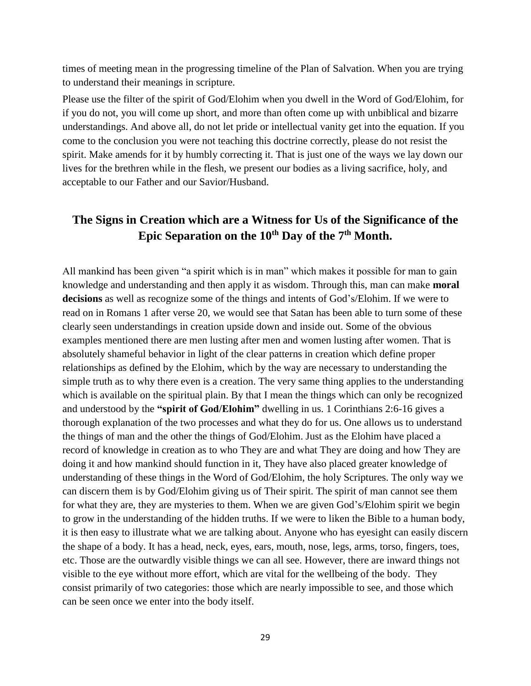times of meeting mean in the progressing timeline of the Plan of Salvation. When you are trying to understand their meanings in scripture.

Please use the filter of the spirit of God/Elohim when you dwell in the Word of God/Elohim, for if you do not, you will come up short, and more than often come up with unbiblical and bizarre understandings. And above all, do not let pride or intellectual vanity get into the equation. If you come to the conclusion you were not teaching this doctrine correctly, please do not resist the spirit. Make amends for it by humbly correcting it. That is just one of the ways we lay down our lives for the brethren while in the flesh, we present our bodies as a living sacrifice, holy, and acceptable to our Father and our Savior/Husband.

### **The Signs in Creation which are a Witness for Us of the Significance of the Epic Separation on the 10th Day of the 7th Month.**

All mankind has been given "a spirit which is in man" which makes it possible for man to gain knowledge and understanding and then apply it as wisdom. Through this, man can make **moral decisions** as well as recognize some of the things and intents of God's/Elohim. If we were to read on in Romans 1 after verse 20, we would see that Satan has been able to turn some of these clearly seen understandings in creation upside down and inside out. Some of the obvious examples mentioned there are men lusting after men and women lusting after women. That is absolutely shameful behavior in light of the clear patterns in creation which define proper relationships as defined by the Elohim, which by the way are necessary to understanding the simple truth as to why there even is a creation. The very same thing applies to the understanding which is available on the spiritual plain. By that I mean the things which can only be recognized and understood by the **"spirit of God/Elohim"** dwelling in us. 1 Corinthians 2:6-16 gives a thorough explanation of the two processes and what they do for us. One allows us to understand the things of man and the other the things of God/Elohim. Just as the Elohim have placed a record of knowledge in creation as to who They are and what They are doing and how They are doing it and how mankind should function in it, They have also placed greater knowledge of understanding of these things in the Word of God/Elohim, the holy Scriptures. The only way we can discern them is by God/Elohim giving us of Their spirit. The spirit of man cannot see them for what they are, they are mysteries to them. When we are given God's/Elohim spirit we begin to grow in the understanding of the hidden truths. If we were to liken the Bible to a human body, it is then easy to illustrate what we are talking about. Anyone who has eyesight can easily discern the shape of a body. It has a head, neck, eyes, ears, mouth, nose, legs, arms, torso, fingers, toes, etc. Those are the outwardly visible things we can all see. However, there are inward things not visible to the eye without more effort, which are vital for the wellbeing of the body. They consist primarily of two categories: those which are nearly impossible to see, and those which can be seen once we enter into the body itself.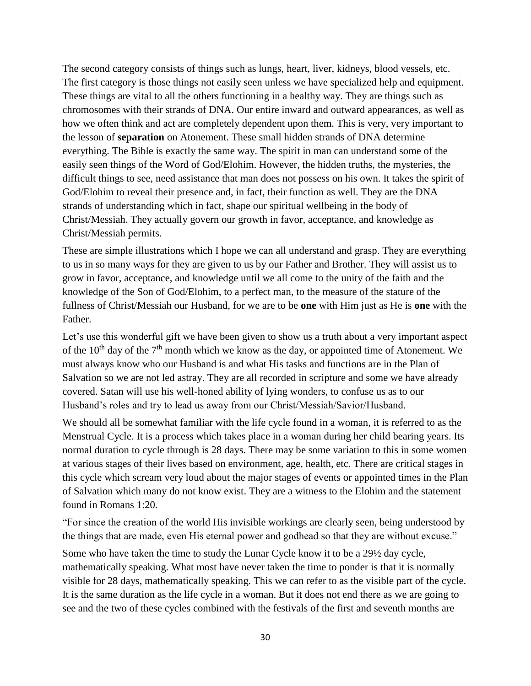The second category consists of things such as lungs, heart, liver, kidneys, blood vessels, etc. The first category is those things not easily seen unless we have specialized help and equipment. These things are vital to all the others functioning in a healthy way. They are things such as chromosomes with their strands of DNA. Our entire inward and outward appearances, as well as how we often think and act are completely dependent upon them. This is very, very important to the lesson of **separation** on Atonement. These small hidden strands of DNA determine everything. The Bible is exactly the same way. The spirit in man can understand some of the easily seen things of the Word of God/Elohim. However, the hidden truths, the mysteries, the difficult things to see, need assistance that man does not possess on his own. It takes the spirit of God/Elohim to reveal their presence and, in fact, their function as well. They are the DNA strands of understanding which in fact, shape our spiritual wellbeing in the body of Christ/Messiah. They actually govern our growth in favor, acceptance, and knowledge as Christ/Messiah permits.

These are simple illustrations which I hope we can all understand and grasp. They are everything to us in so many ways for they are given to us by our Father and Brother. They will assist us to grow in favor, acceptance, and knowledge until we all come to the unity of the faith and the knowledge of the Son of God/Elohim, to a perfect man, to the measure of the stature of the fullness of Christ/Messiah our Husband, for we are to be **one** with Him just as He is **one** with the Father.

Let's use this wonderful gift we have been given to show us a truth about a very important aspect of the  $10<sup>th</sup>$  day of the  $7<sup>th</sup>$  month which we know as the day, or appointed time of Atonement. We must always know who our Husband is and what His tasks and functions are in the Plan of Salvation so we are not led astray. They are all recorded in scripture and some we have already covered. Satan will use his well-honed ability of lying wonders, to confuse us as to our Husband's roles and try to lead us away from our Christ/Messiah/Savior/Husband.

We should all be somewhat familiar with the life cycle found in a woman, it is referred to as the Menstrual Cycle. It is a process which takes place in a woman during her child bearing years. Its normal duration to cycle through is 28 days. There may be some variation to this in some women at various stages of their lives based on environment, age, health, etc. There are critical stages in this cycle which scream very loud about the major stages of events or appointed times in the Plan of Salvation which many do not know exist. They are a witness to the Elohim and the statement found in Romans 1:20.

"For since the creation of the world His invisible workings are clearly seen, being understood by the things that are made, even His eternal power and godhead so that they are without excuse."

Some who have taken the time to study the Lunar Cycle know it to be a 29½ day cycle, mathematically speaking. What most have never taken the time to ponder is that it is normally visible for 28 days, mathematically speaking. This we can refer to as the visible part of the cycle. It is the same duration as the life cycle in a woman. But it does not end there as we are going to see and the two of these cycles combined with the festivals of the first and seventh months are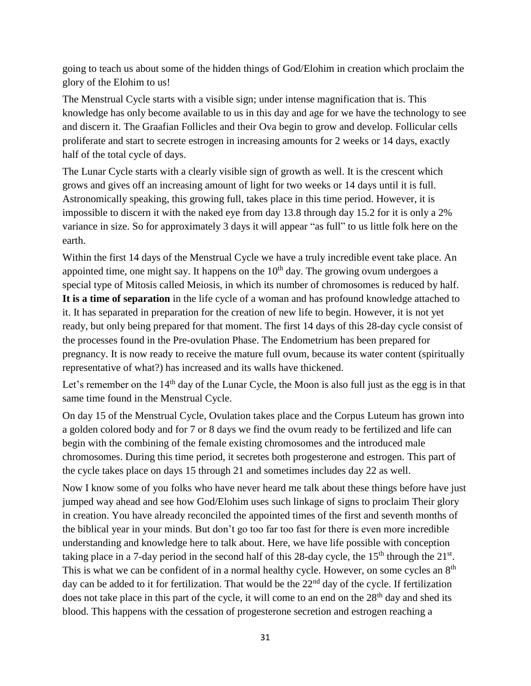going to teach us about some of the hidden things of God/Elohim in creation which proclaim the glory of the Elohim to us!

The Menstrual Cycle starts with a visible sign; under intense magnification that is. This knowledge has only become available to us in this day and age for we have the technology to see and discern it. The Graafian Follicles and their Ova begin to grow and develop. Follicular cells proliferate and start to secrete estrogen in increasing amounts for 2 weeks or 14 days, exactly half of the total cycle of days.

The Lunar Cycle starts with a clearly visible sign of growth as well. It is the crescent which grows and gives off an increasing amount of light for two weeks or 14 days until it is full. Astronomically speaking, this growing full, takes place in this time period. However, it is impossible to discern it with the naked eye from day 13.8 through day 15.2 for it is only a 2% variance in size. So for approximately 3 days it will appear "as full" to us little folk here on the earth.

Within the first 14 days of the Menstrual Cycle we have a truly incredible event take place. An appointed time, one might say. It happens on the  $10<sup>th</sup>$  day. The growing ovum undergoes a special type of Mitosis called Meiosis, in which its number of chromosomes is reduced by half. **It is a time of separation** in the life cycle of a woman and has profound knowledge attached to it. It has separated in preparation for the creation of new life to begin. However, it is not yet ready, but only being prepared for that moment. The first 14 days of this 28-day cycle consist of the processes found in the Pre-ovulation Phase. The Endometrium has been prepared for pregnancy. It is now ready to receive the mature full ovum, because its water content (spiritually representative of what?) has increased and its walls have thickened.

Let's remember on the 14<sup>th</sup> day of the Lunar Cycle, the Moon is also full just as the egg is in that same time found in the Menstrual Cycle.

On day 15 of the Menstrual Cycle, Ovulation takes place and the Corpus Luteum has grown into a golden colored body and for 7 or 8 days we find the ovum ready to be fertilized and life can begin with the combining of the female existing chromosomes and the introduced male chromosomes. During this time period, it secretes both progesterone and estrogen. This part of the cycle takes place on days 15 through 21 and sometimes includes day 22 as well.

Now I know some of you folks who have never heard me talk about these things before have just jumped way ahead and see how God/Elohim uses such linkage of signs to proclaim Their glory in creation. You have already reconciled the appointed times of the first and seventh months of the biblical year in your minds. But don't go too far too fast for there is even more incredible understanding and knowledge here to talk about. Here, we have life possible with conception taking place in a 7-day period in the second half of this 28-day cycle, the  $15<sup>th</sup>$  through the  $21<sup>st</sup>$ . This is what we can be confident of in a normal healthy cycle. However, on some cycles an 8<sup>th</sup> day can be added to it for fertilization. That would be the 22<sup>nd</sup> day of the cycle. If fertilization does not take place in this part of the cycle, it will come to an end on the 28<sup>th</sup> day and shed its blood. This happens with the cessation of progesterone secretion and estrogen reaching a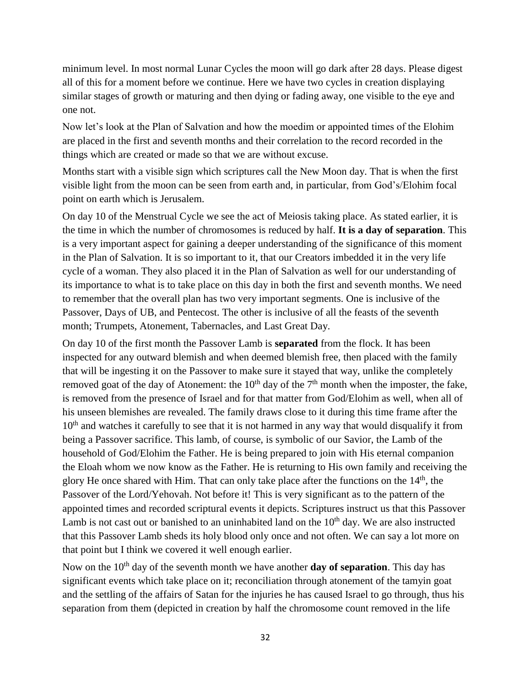minimum level. In most normal Lunar Cycles the moon will go dark after 28 days. Please digest all of this for a moment before we continue. Here we have two cycles in creation displaying similar stages of growth or maturing and then dying or fading away, one visible to the eye and one not.

Now let's look at the Plan of Salvation and how the moedim or appointed times of the Elohim are placed in the first and seventh months and their correlation to the record recorded in the things which are created or made so that we are without excuse.

Months start with a visible sign which scriptures call the New Moon day. That is when the first visible light from the moon can be seen from earth and, in particular, from God's/Elohim focal point on earth which is Jerusalem.

On day 10 of the Menstrual Cycle we see the act of Meiosis taking place. As stated earlier, it is the time in which the number of chromosomes is reduced by half. **It is a day of separation**. This is a very important aspect for gaining a deeper understanding of the significance of this moment in the Plan of Salvation. It is so important to it, that our Creators imbedded it in the very life cycle of a woman. They also placed it in the Plan of Salvation as well for our understanding of its importance to what is to take place on this day in both the first and seventh months. We need to remember that the overall plan has two very important segments. One is inclusive of the Passover, Days of UB, and Pentecost. The other is inclusive of all the feasts of the seventh month; Trumpets, Atonement, Tabernacles, and Last Great Day.

On day 10 of the first month the Passover Lamb is **separated** from the flock. It has been inspected for any outward blemish and when deemed blemish free, then placed with the family that will be ingesting it on the Passover to make sure it stayed that way, unlike the completely removed goat of the day of Atonement: the  $10<sup>th</sup>$  day of the  $7<sup>th</sup>$  month when the imposter, the fake, is removed from the presence of Israel and for that matter from God/Elohim as well, when all of his unseen blemishes are revealed. The family draws close to it during this time frame after the  $10<sup>th</sup>$  and watches it carefully to see that it is not harmed in any way that would disqualify it from being a Passover sacrifice. This lamb, of course, is symbolic of our Savior, the Lamb of the household of God/Elohim the Father. He is being prepared to join with His eternal companion the Eloah whom we now know as the Father. He is returning to His own family and receiving the glory He once shared with Him. That can only take place after the functions on the 14<sup>th</sup>, the Passover of the Lord/Yehovah. Not before it! This is very significant as to the pattern of the appointed times and recorded scriptural events it depicts. Scriptures instruct us that this Passover Lamb is not cast out or banished to an uninhabited land on the  $10<sup>th</sup>$  day. We are also instructed that this Passover Lamb sheds its holy blood only once and not often. We can say a lot more on that point but I think we covered it well enough earlier.

Now on the 10<sup>th</sup> day of the seventh month we have another **day of separation**. This day has significant events which take place on it; reconciliation through atonement of the tamyin goat and the settling of the affairs of Satan for the injuries he has caused Israel to go through, thus his separation from them (depicted in creation by half the chromosome count removed in the life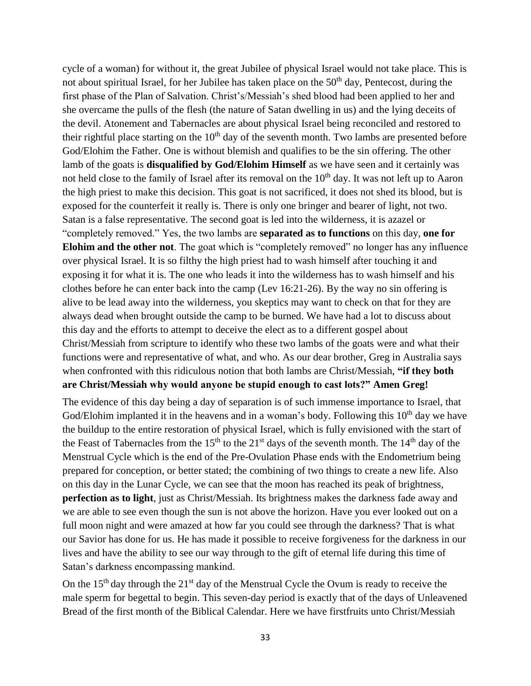cycle of a woman) for without it, the great Jubilee of physical Israel would not take place. This is not about spiritual Israel, for her Jubilee has taken place on the  $50<sup>th</sup>$  day, Pentecost, during the first phase of the Plan of Salvation. Christ's/Messiah's shed blood had been applied to her and she overcame the pulls of the flesh (the nature of Satan dwelling in us) and the lying deceits of the devil. Atonement and Tabernacles are about physical Israel being reconciled and restored to their rightful place starting on the  $10<sup>th</sup>$  day of the seventh month. Two lambs are presented before God/Elohim the Father. One is without blemish and qualifies to be the sin offering. The other lamb of the goats is **disqualified by God/Elohim Himself** as we have seen and it certainly was not held close to the family of Israel after its removal on the  $10<sup>th</sup>$  day. It was not left up to Aaron the high priest to make this decision. This goat is not sacrificed, it does not shed its blood, but is exposed for the counterfeit it really is. There is only one bringer and bearer of light, not two. Satan is a false representative. The second goat is led into the wilderness, it is azazel or "completely removed." Yes, the two lambs are **separated as to functions** on this day, **one for Elohim and the other not**. The goat which is "completely removed" no longer has any influence over physical Israel. It is so filthy the high priest had to wash himself after touching it and exposing it for what it is. The one who leads it into the wilderness has to wash himself and his clothes before he can enter back into the camp (Lev 16:21-26). By the way no sin offering is alive to be lead away into the wilderness, you skeptics may want to check on that for they are always dead when brought outside the camp to be burned. We have had a lot to discuss about this day and the efforts to attempt to deceive the elect as to a different gospel about Christ/Messiah from scripture to identify who these two lambs of the goats were and what their functions were and representative of what, and who. As our dear brother, Greg in Australia says when confronted with this ridiculous notion that both lambs are Christ/Messiah, **"if they both are Christ/Messiah why would anyone be stupid enough to cast lots?" Amen Greg!**

The evidence of this day being a day of separation is of such immense importance to Israel, that God/Elohim implanted it in the heavens and in a woman's body. Following this  $10<sup>th</sup>$  day we have the buildup to the entire restoration of physical Israel, which is fully envisioned with the start of the Feast of Tabernacles from the  $15<sup>th</sup>$  to the  $21<sup>st</sup>$  days of the seventh month. The  $14<sup>th</sup>$  day of the Menstrual Cycle which is the end of the Pre-Ovulation Phase ends with the Endometrium being prepared for conception, or better stated; the combining of two things to create a new life. Also on this day in the Lunar Cycle, we can see that the moon has reached its peak of brightness, **perfection as to light**, just as Christ/Messiah. Its brightness makes the darkness fade away and we are able to see even though the sun is not above the horizon. Have you ever looked out on a full moon night and were amazed at how far you could see through the darkness? That is what our Savior has done for us. He has made it possible to receive forgiveness for the darkness in our lives and have the ability to see our way through to the gift of eternal life during this time of Satan's darkness encompassing mankind.

On the  $15<sup>th</sup>$  day through the  $21<sup>st</sup>$  day of the Menstrual Cycle the Ovum is ready to receive the male sperm for begettal to begin. This seven-day period is exactly that of the days of Unleavened Bread of the first month of the Biblical Calendar. Here we have firstfruits unto Christ/Messiah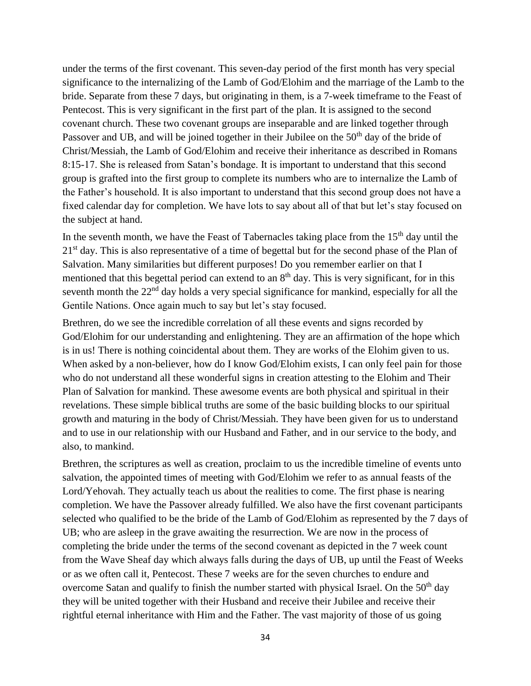under the terms of the first covenant. This seven-day period of the first month has very special significance to the internalizing of the Lamb of God/Elohim and the marriage of the Lamb to the bride. Separate from these 7 days, but originating in them, is a 7-week timeframe to the Feast of Pentecost. This is very significant in the first part of the plan. It is assigned to the second covenant church. These two covenant groups are inseparable and are linked together through Passover and UB, and will be joined together in their Jubilee on the 50<sup>th</sup> day of the bride of Christ/Messiah, the Lamb of God/Elohim and receive their inheritance as described in Romans 8:15-17. She is released from Satan's bondage. It is important to understand that this second group is grafted into the first group to complete its numbers who are to internalize the Lamb of the Father's household. It is also important to understand that this second group does not have a fixed calendar day for completion. We have lots to say about all of that but let's stay focused on the subject at hand.

In the seventh month, we have the Feast of Tabernacles taking place from the  $15<sup>th</sup>$  day until the 21<sup>st</sup> day. This is also representative of a time of begettal but for the second phase of the Plan of Salvation. Many similarities but different purposes! Do you remember earlier on that I mentioned that this begettal period can extend to an  $8<sup>th</sup>$  day. This is very significant, for in this seventh month the 22<sup>nd</sup> day holds a very special significance for mankind, especially for all the Gentile Nations. Once again much to say but let's stay focused.

Brethren, do we see the incredible correlation of all these events and signs recorded by God/Elohim for our understanding and enlightening. They are an affirmation of the hope which is in us! There is nothing coincidental about them. They are works of the Elohim given to us. When asked by a non-believer, how do I know God/Elohim exists, I can only feel pain for those who do not understand all these wonderful signs in creation attesting to the Elohim and Their Plan of Salvation for mankind. These awesome events are both physical and spiritual in their revelations. These simple biblical truths are some of the basic building blocks to our spiritual growth and maturing in the body of Christ/Messiah. They have been given for us to understand and to use in our relationship with our Husband and Father, and in our service to the body, and also, to mankind.

Brethren, the scriptures as well as creation, proclaim to us the incredible timeline of events unto salvation, the appointed times of meeting with God/Elohim we refer to as annual feasts of the Lord/Yehovah. They actually teach us about the realities to come. The first phase is nearing completion. We have the Passover already fulfilled. We also have the first covenant participants selected who qualified to be the bride of the Lamb of God/Elohim as represented by the 7 days of UB; who are asleep in the grave awaiting the resurrection. We are now in the process of completing the bride under the terms of the second covenant as depicted in the 7 week count from the Wave Sheaf day which always falls during the days of UB, up until the Feast of Weeks or as we often call it, Pentecost. These 7 weeks are for the seven churches to endure and overcome Satan and qualify to finish the number started with physical Israel. On the  $50<sup>th</sup>$  day they will be united together with their Husband and receive their Jubilee and receive their rightful eternal inheritance with Him and the Father. The vast majority of those of us going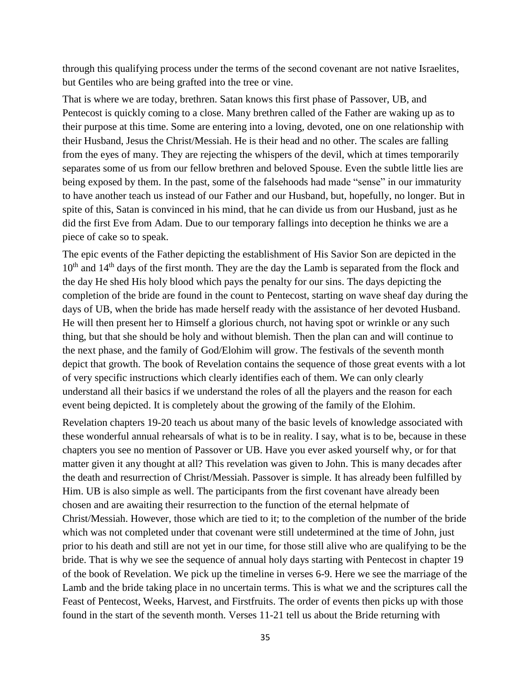through this qualifying process under the terms of the second covenant are not native Israelites, but Gentiles who are being grafted into the tree or vine.

That is where we are today, brethren. Satan knows this first phase of Passover, UB, and Pentecost is quickly coming to a close. Many brethren called of the Father are waking up as to their purpose at this time. Some are entering into a loving, devoted, one on one relationship with their Husband, Jesus the Christ/Messiah. He is their head and no other. The scales are falling from the eyes of many. They are rejecting the whispers of the devil, which at times temporarily separates some of us from our fellow brethren and beloved Spouse. Even the subtle little lies are being exposed by them. In the past, some of the falsehoods had made "sense" in our immaturity to have another teach us instead of our Father and our Husband, but, hopefully, no longer. But in spite of this, Satan is convinced in his mind, that he can divide us from our Husband, just as he did the first Eve from Adam. Due to our temporary fallings into deception he thinks we are a piece of cake so to speak.

The epic events of the Father depicting the establishment of His Savior Son are depicted in the  $10<sup>th</sup>$  and  $14<sup>th</sup>$  days of the first month. They are the day the Lamb is separated from the flock and the day He shed His holy blood which pays the penalty for our sins. The days depicting the completion of the bride are found in the count to Pentecost, starting on wave sheaf day during the days of UB, when the bride has made herself ready with the assistance of her devoted Husband. He will then present her to Himself a glorious church, not having spot or wrinkle or any such thing, but that she should be holy and without blemish. Then the plan can and will continue to the next phase, and the family of God/Elohim will grow. The festivals of the seventh month depict that growth. The book of Revelation contains the sequence of those great events with a lot of very specific instructions which clearly identifies each of them. We can only clearly understand all their basics if we understand the roles of all the players and the reason for each event being depicted. It is completely about the growing of the family of the Elohim.

Revelation chapters 19-20 teach us about many of the basic levels of knowledge associated with these wonderful annual rehearsals of what is to be in reality. I say, what is to be, because in these chapters you see no mention of Passover or UB. Have you ever asked yourself why, or for that matter given it any thought at all? This revelation was given to John. This is many decades after the death and resurrection of Christ/Messiah. Passover is simple. It has already been fulfilled by Him. UB is also simple as well. The participants from the first covenant have already been chosen and are awaiting their resurrection to the function of the eternal helpmate of Christ/Messiah. However, those which are tied to it; to the completion of the number of the bride which was not completed under that covenant were still undetermined at the time of John, just prior to his death and still are not yet in our time, for those still alive who are qualifying to be the bride. That is why we see the sequence of annual holy days starting with Pentecost in chapter 19 of the book of Revelation. We pick up the timeline in verses 6-9. Here we see the marriage of the Lamb and the bride taking place in no uncertain terms. This is what we and the scriptures call the Feast of Pentecost, Weeks, Harvest, and Firstfruits. The order of events then picks up with those found in the start of the seventh month. Verses 11-21 tell us about the Bride returning with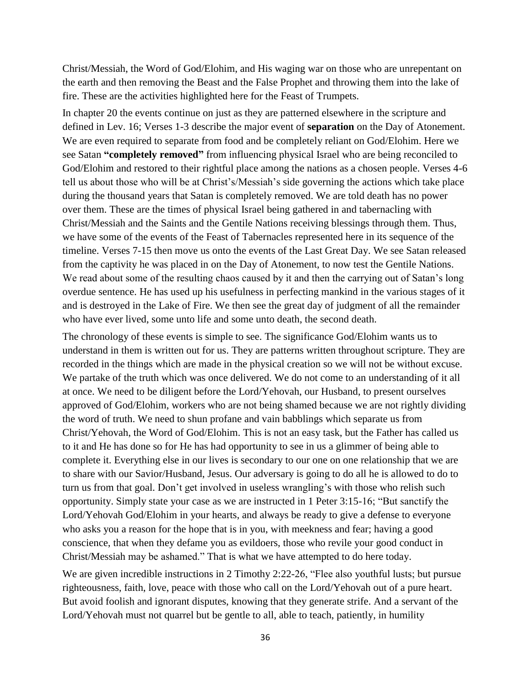Christ/Messiah, the Word of God/Elohim, and His waging war on those who are unrepentant on the earth and then removing the Beast and the False Prophet and throwing them into the lake of fire. These are the activities highlighted here for the Feast of Trumpets.

In chapter 20 the events continue on just as they are patterned elsewhere in the scripture and defined in Lev. 16; Verses 1-3 describe the major event of **separation** on the Day of Atonement. We are even required to separate from food and be completely reliant on God/Elohim. Here we see Satan **"completely removed"** from influencing physical Israel who are being reconciled to God/Elohim and restored to their rightful place among the nations as a chosen people. Verses 4-6 tell us about those who will be at Christ's/Messiah's side governing the actions which take place during the thousand years that Satan is completely removed. We are told death has no power over them. These are the times of physical Israel being gathered in and tabernacling with Christ/Messiah and the Saints and the Gentile Nations receiving blessings through them. Thus, we have some of the events of the Feast of Tabernacles represented here in its sequence of the timeline. Verses 7-15 then move us onto the events of the Last Great Day. We see Satan released from the captivity he was placed in on the Day of Atonement, to now test the Gentile Nations. We read about some of the resulting chaos caused by it and then the carrying out of Satan's long overdue sentence. He has used up his usefulness in perfecting mankind in the various stages of it and is destroyed in the Lake of Fire. We then see the great day of judgment of all the remainder who have ever lived, some unto life and some unto death, the second death.

The chronology of these events is simple to see. The significance God/Elohim wants us to understand in them is written out for us. They are patterns written throughout scripture. They are recorded in the things which are made in the physical creation so we will not be without excuse. We partake of the truth which was once delivered. We do not come to an understanding of it all at once. We need to be diligent before the Lord/Yehovah, our Husband, to present ourselves approved of God/Elohim, workers who are not being shamed because we are not rightly dividing the word of truth. We need to shun profane and vain babblings which separate us from Christ/Yehovah, the Word of God/Elohim. This is not an easy task, but the Father has called us to it and He has done so for He has had opportunity to see in us a glimmer of being able to complete it. Everything else in our lives is secondary to our one on one relationship that we are to share with our Savior/Husband, Jesus. Our adversary is going to do all he is allowed to do to turn us from that goal. Don't get involved in useless wrangling's with those who relish such opportunity. Simply state your case as we are instructed in 1 Peter 3:15-16; "But sanctify the Lord/Yehovah God/Elohim in your hearts, and always be ready to give a defense to everyone who asks you a reason for the hope that is in you, with meekness and fear; having a good conscience, that when they defame you as evildoers, those who revile your good conduct in Christ/Messiah may be ashamed." That is what we have attempted to do here today.

We are given incredible instructions in 2 Timothy 2:22-26, "Flee also youthful lusts; but pursue righteousness, faith, love, peace with those who call on the Lord/Yehovah out of a pure heart. But avoid foolish and ignorant disputes, knowing that they generate strife. And a servant of the Lord/Yehovah must not quarrel but be gentle to all, able to teach, patiently, in humility